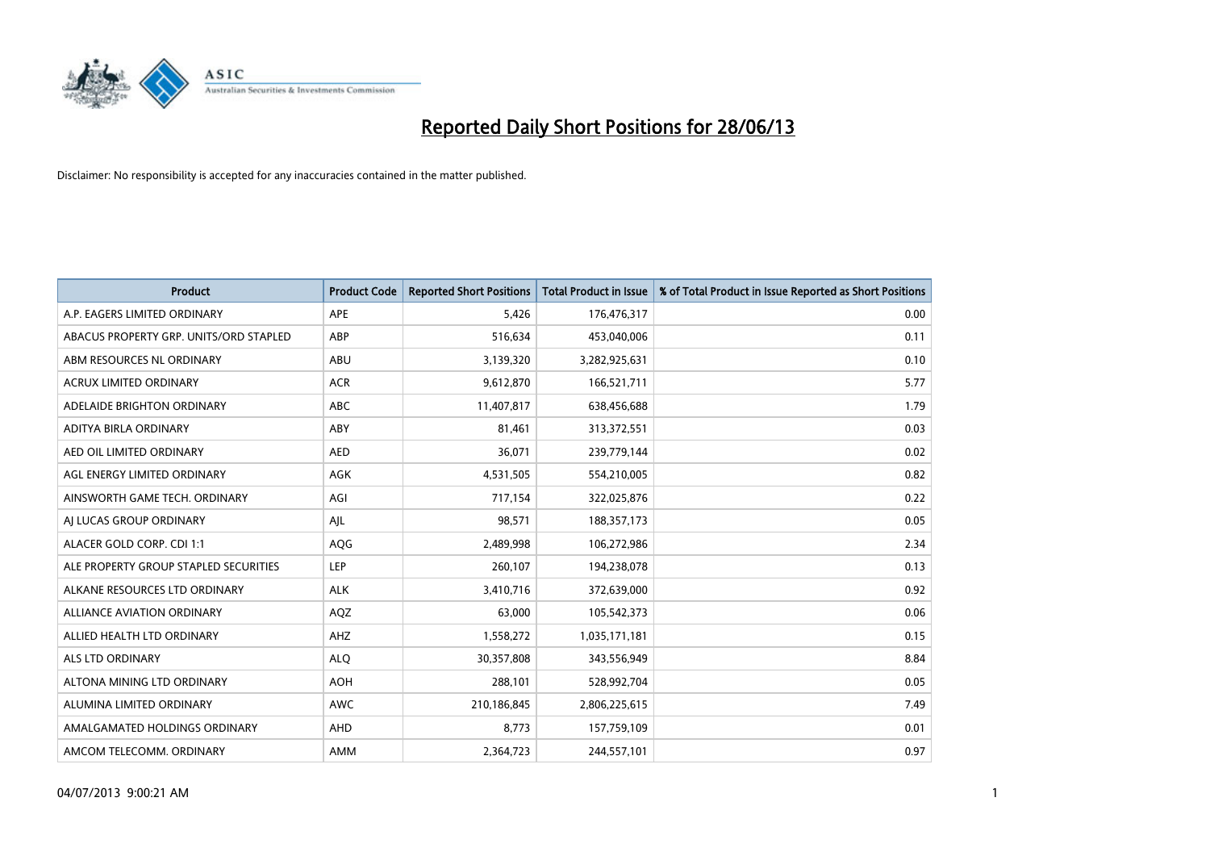

| <b>Product</b>                         | <b>Product Code</b> | <b>Reported Short Positions</b> | <b>Total Product in Issue</b> | % of Total Product in Issue Reported as Short Positions |
|----------------------------------------|---------------------|---------------------------------|-------------------------------|---------------------------------------------------------|
| A.P. EAGERS LIMITED ORDINARY           | APE                 | 5,426                           | 176,476,317                   | 0.00                                                    |
| ABACUS PROPERTY GRP. UNITS/ORD STAPLED | ABP                 | 516,634                         | 453,040,006                   | 0.11                                                    |
| ABM RESOURCES NL ORDINARY              | ABU                 | 3,139,320                       | 3,282,925,631                 | 0.10                                                    |
| <b>ACRUX LIMITED ORDINARY</b>          | <b>ACR</b>          | 9,612,870                       | 166,521,711                   | 5.77                                                    |
| ADELAIDE BRIGHTON ORDINARY             | <b>ABC</b>          | 11,407,817                      | 638,456,688                   | 1.79                                                    |
| ADITYA BIRLA ORDINARY                  | ABY                 | 81,461                          | 313,372,551                   | 0.03                                                    |
| AED OIL LIMITED ORDINARY               | <b>AED</b>          | 36,071                          | 239,779,144                   | 0.02                                                    |
| AGL ENERGY LIMITED ORDINARY            | AGK                 | 4,531,505                       | 554,210,005                   | 0.82                                                    |
| AINSWORTH GAME TECH. ORDINARY          | AGI                 | 717,154                         | 322,025,876                   | 0.22                                                    |
| AI LUCAS GROUP ORDINARY                | AJL                 | 98,571                          | 188,357,173                   | 0.05                                                    |
| ALACER GOLD CORP. CDI 1:1              | AQG                 | 2,489,998                       | 106,272,986                   | 2.34                                                    |
| ALE PROPERTY GROUP STAPLED SECURITIES  | LEP                 | 260,107                         | 194,238,078                   | 0.13                                                    |
| ALKANE RESOURCES LTD ORDINARY          | <b>ALK</b>          | 3,410,716                       | 372,639,000                   | 0.92                                                    |
| <b>ALLIANCE AVIATION ORDINARY</b>      | AQZ                 | 63,000                          | 105,542,373                   | 0.06                                                    |
| ALLIED HEALTH LTD ORDINARY             | AHZ                 | 1,558,272                       | 1,035,171,181                 | 0.15                                                    |
| ALS LTD ORDINARY                       | <b>ALQ</b>          | 30,357,808                      | 343,556,949                   | 8.84                                                    |
| ALTONA MINING LTD ORDINARY             | <b>AOH</b>          | 288,101                         | 528,992,704                   | 0.05                                                    |
| ALUMINA LIMITED ORDINARY               | <b>AWC</b>          | 210,186,845                     | 2,806,225,615                 | 7.49                                                    |
| AMALGAMATED HOLDINGS ORDINARY          | AHD                 | 8,773                           | 157,759,109                   | 0.01                                                    |
| AMCOM TELECOMM, ORDINARY               | AMM                 | 2,364,723                       | 244,557,101                   | 0.97                                                    |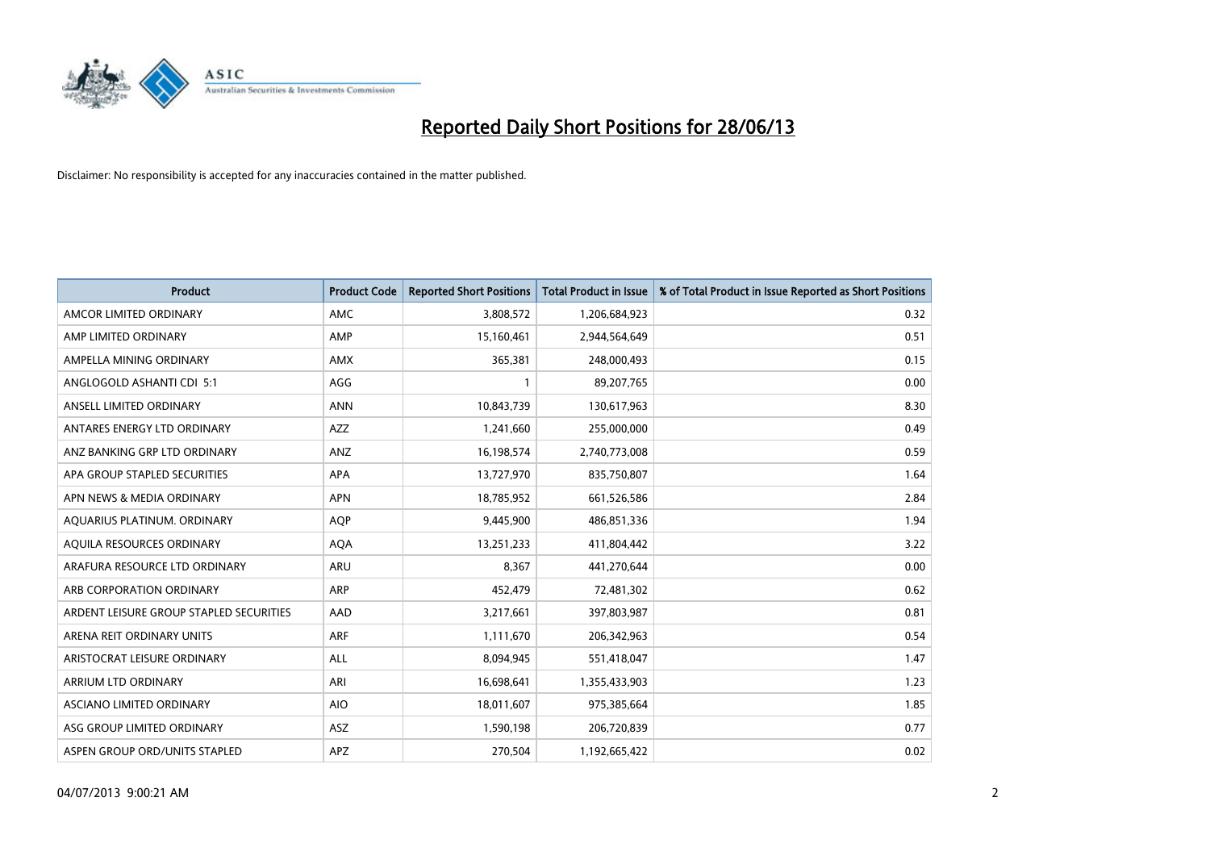

| Product                                 | <b>Product Code</b> | <b>Reported Short Positions</b> | <b>Total Product in Issue</b> | % of Total Product in Issue Reported as Short Positions |
|-----------------------------------------|---------------------|---------------------------------|-------------------------------|---------------------------------------------------------|
| AMCOR LIMITED ORDINARY                  | AMC                 | 3,808,572                       | 1,206,684,923                 | 0.32                                                    |
| AMP LIMITED ORDINARY                    | AMP                 | 15,160,461                      | 2,944,564,649                 | 0.51                                                    |
| AMPELLA MINING ORDINARY                 | <b>AMX</b>          | 365,381                         | 248,000,493                   | 0.15                                                    |
| ANGLOGOLD ASHANTI CDI 5:1               | AGG                 | $\mathbf{1}$                    | 89,207,765                    | 0.00                                                    |
| ANSELL LIMITED ORDINARY                 | <b>ANN</b>          | 10,843,739                      | 130,617,963                   | 8.30                                                    |
| ANTARES ENERGY LTD ORDINARY             | <b>AZZ</b>          | 1,241,660                       | 255,000,000                   | 0.49                                                    |
| ANZ BANKING GRP LTD ORDINARY            | <b>ANZ</b>          | 16,198,574                      | 2,740,773,008                 | 0.59                                                    |
| APA GROUP STAPLED SECURITIES            | APA                 | 13,727,970                      | 835,750,807                   | 1.64                                                    |
| APN NEWS & MEDIA ORDINARY               | <b>APN</b>          | 18,785,952                      | 661,526,586                   | 2.84                                                    |
| AQUARIUS PLATINUM. ORDINARY             | <b>AOP</b>          | 9,445,900                       | 486,851,336                   | 1.94                                                    |
| AQUILA RESOURCES ORDINARY               | <b>AQA</b>          | 13,251,233                      | 411,804,442                   | 3.22                                                    |
| ARAFURA RESOURCE LTD ORDINARY           | ARU                 | 8,367                           | 441,270,644                   | 0.00                                                    |
| ARB CORPORATION ORDINARY                | ARP                 | 452,479                         | 72,481,302                    | 0.62                                                    |
| ARDENT LEISURE GROUP STAPLED SECURITIES | AAD                 | 3,217,661                       | 397,803,987                   | 0.81                                                    |
| ARENA REIT ORDINARY UNITS               | <b>ARF</b>          | 1,111,670                       | 206,342,963                   | 0.54                                                    |
| ARISTOCRAT LEISURE ORDINARY             | ALL                 | 8,094,945                       | 551,418,047                   | 1.47                                                    |
| ARRIUM LTD ORDINARY                     | ARI                 | 16,698,641                      | 1,355,433,903                 | 1.23                                                    |
| ASCIANO LIMITED ORDINARY                | <b>AIO</b>          | 18,011,607                      | 975,385,664                   | 1.85                                                    |
| ASG GROUP LIMITED ORDINARY              | ASZ                 | 1,590,198                       | 206,720,839                   | 0.77                                                    |
| ASPEN GROUP ORD/UNITS STAPLED           | APZ                 | 270,504                         | 1,192,665,422                 | 0.02                                                    |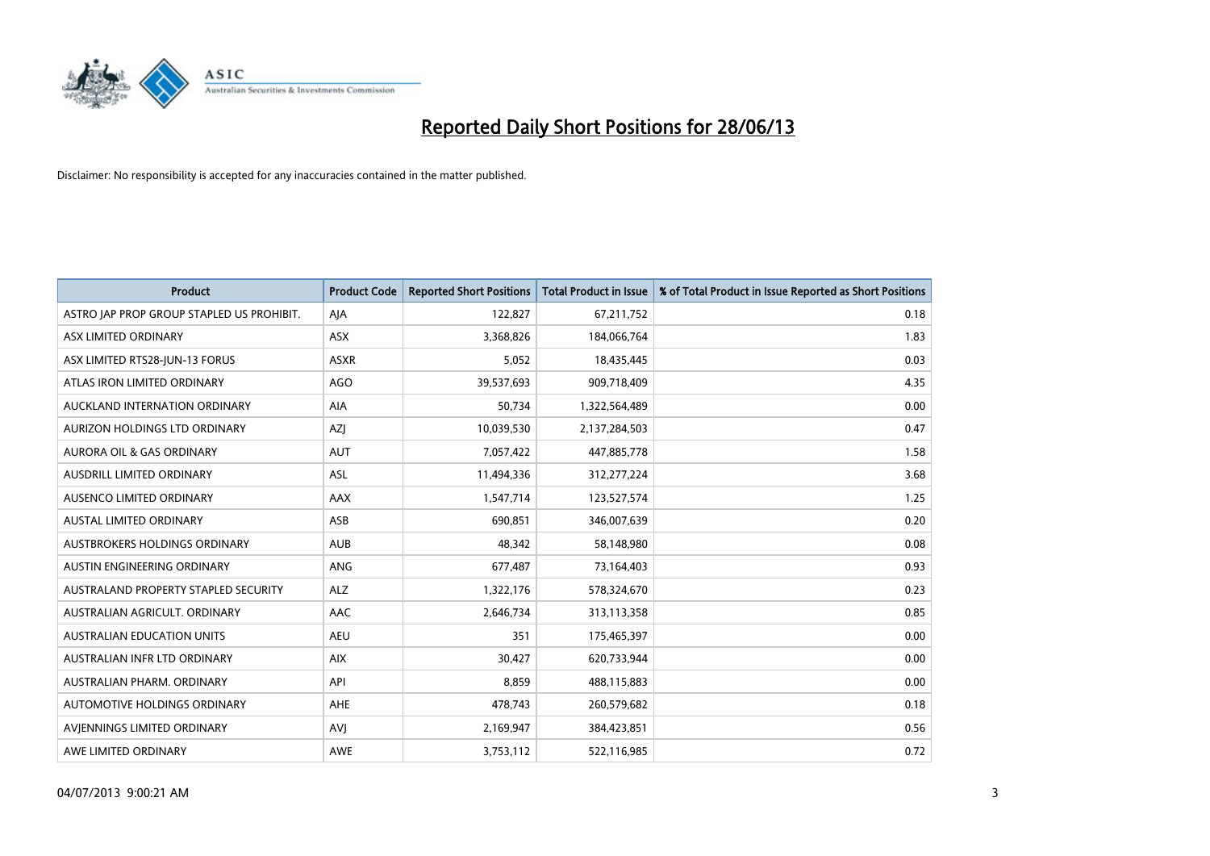

| <b>Product</b>                            | <b>Product Code</b> | <b>Reported Short Positions</b> | <b>Total Product in Issue</b> | % of Total Product in Issue Reported as Short Positions |
|-------------------------------------------|---------------------|---------------------------------|-------------------------------|---------------------------------------------------------|
| ASTRO JAP PROP GROUP STAPLED US PROHIBIT. | AJA                 | 122,827                         | 67,211,752                    | 0.18                                                    |
| ASX LIMITED ORDINARY                      | ASX                 | 3,368,826                       | 184,066,764                   | 1.83                                                    |
| ASX LIMITED RTS28-JUN-13 FORUS            | <b>ASXR</b>         | 5,052                           | 18,435,445                    | 0.03                                                    |
| ATLAS IRON LIMITED ORDINARY               | <b>AGO</b>          | 39,537,693                      | 909,718,409                   | 4.35                                                    |
| AUCKLAND INTERNATION ORDINARY             | AIA                 | 50,734                          | 1,322,564,489                 | 0.00                                                    |
| AURIZON HOLDINGS LTD ORDINARY             | AZJ                 | 10,039,530                      | 2,137,284,503                 | 0.47                                                    |
| <b>AURORA OIL &amp; GAS ORDINARY</b>      | <b>AUT</b>          | 7,057,422                       | 447,885,778                   | 1.58                                                    |
| AUSDRILL LIMITED ORDINARY                 | ASL                 | 11,494,336                      | 312,277,224                   | 3.68                                                    |
| AUSENCO LIMITED ORDINARY                  | AAX                 | 1,547,714                       | 123,527,574                   | 1.25                                                    |
| <b>AUSTAL LIMITED ORDINARY</b>            | ASB                 | 690,851                         | 346,007,639                   | 0.20                                                    |
| AUSTBROKERS HOLDINGS ORDINARY             | <b>AUB</b>          | 48,342                          | 58,148,980                    | 0.08                                                    |
| AUSTIN ENGINEERING ORDINARY               | ANG                 | 677,487                         | 73,164,403                    | 0.93                                                    |
| AUSTRALAND PROPERTY STAPLED SECURITY      | <b>ALZ</b>          | 1,322,176                       | 578,324,670                   | 0.23                                                    |
| AUSTRALIAN AGRICULT, ORDINARY             | AAC                 | 2,646,734                       | 313,113,358                   | 0.85                                                    |
| <b>AUSTRALIAN EDUCATION UNITS</b>         | <b>AEU</b>          | 351                             | 175,465,397                   | 0.00                                                    |
| AUSTRALIAN INFR LTD ORDINARY              | <b>AIX</b>          | 30,427                          | 620,733,944                   | 0.00                                                    |
| AUSTRALIAN PHARM. ORDINARY                | API                 | 8,859                           | 488,115,883                   | 0.00                                                    |
| AUTOMOTIVE HOLDINGS ORDINARY              | <b>AHE</b>          | 478,743                         | 260,579,682                   | 0.18                                                    |
| AVIENNINGS LIMITED ORDINARY               | <b>AVI</b>          | 2,169,947                       | 384,423,851                   | 0.56                                                    |
| AWE LIMITED ORDINARY                      | AWE                 | 3,753,112                       | 522,116,985                   | 0.72                                                    |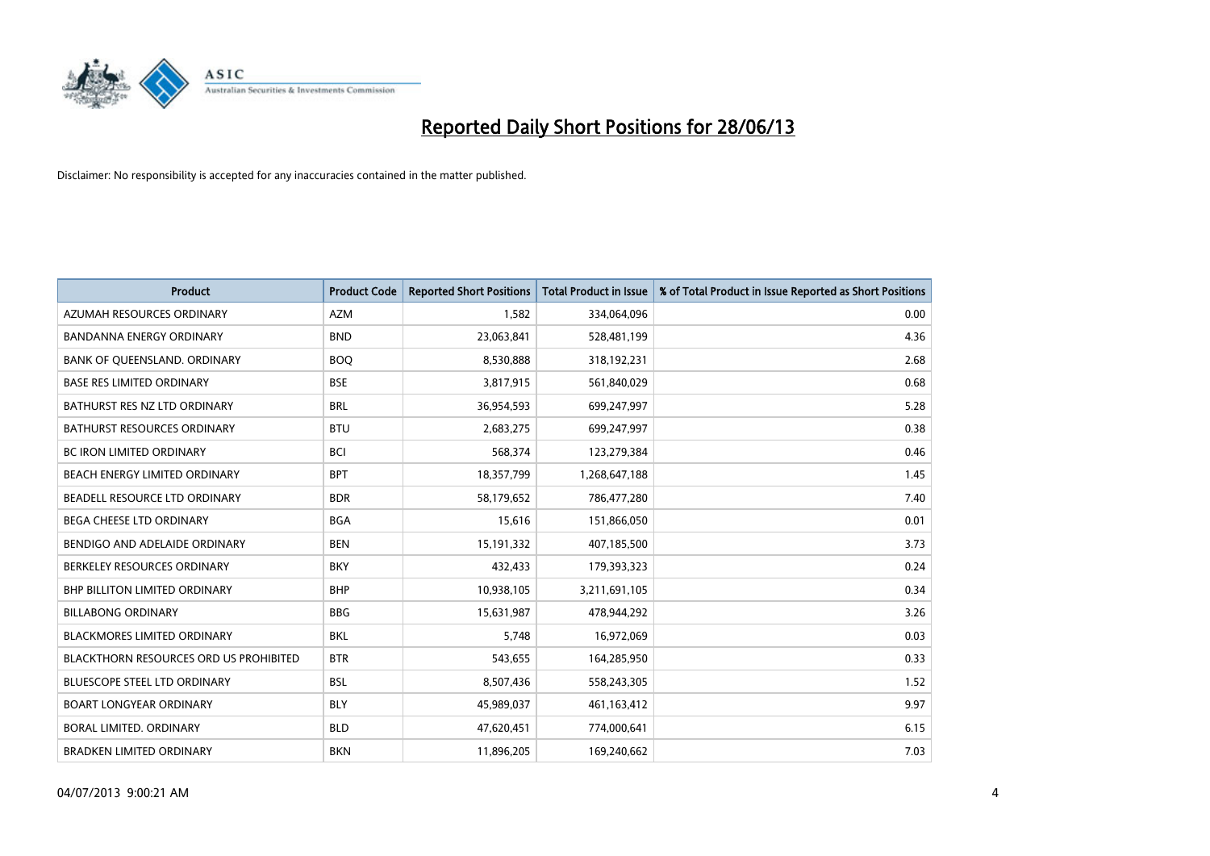

| <b>Product</b>                         | <b>Product Code</b> | <b>Reported Short Positions</b> | <b>Total Product in Issue</b> | % of Total Product in Issue Reported as Short Positions |
|----------------------------------------|---------------------|---------------------------------|-------------------------------|---------------------------------------------------------|
| AZUMAH RESOURCES ORDINARY              | <b>AZM</b>          | 1,582                           | 334,064,096                   | 0.00                                                    |
| <b>BANDANNA ENERGY ORDINARY</b>        | <b>BND</b>          | 23,063,841                      | 528,481,199                   | 4.36                                                    |
| BANK OF QUEENSLAND. ORDINARY           | <b>BOQ</b>          | 8,530,888                       | 318,192,231                   | 2.68                                                    |
| <b>BASE RES LIMITED ORDINARY</b>       | <b>BSE</b>          | 3,817,915                       | 561,840,029                   | 0.68                                                    |
| BATHURST RES NZ LTD ORDINARY           | <b>BRL</b>          | 36,954,593                      | 699,247,997                   | 5.28                                                    |
| <b>BATHURST RESOURCES ORDINARY</b>     | <b>BTU</b>          | 2,683,275                       | 699,247,997                   | 0.38                                                    |
| <b>BC IRON LIMITED ORDINARY</b>        | <b>BCI</b>          | 568,374                         | 123,279,384                   | 0.46                                                    |
| BEACH ENERGY LIMITED ORDINARY          | <b>BPT</b>          | 18,357,799                      | 1,268,647,188                 | 1.45                                                    |
| BEADELL RESOURCE LTD ORDINARY          | <b>BDR</b>          | 58,179,652                      | 786,477,280                   | 7.40                                                    |
| <b>BEGA CHEESE LTD ORDINARY</b>        | <b>BGA</b>          | 15,616                          | 151,866,050                   | 0.01                                                    |
| BENDIGO AND ADELAIDE ORDINARY          | <b>BEN</b>          | 15,191,332                      | 407,185,500                   | 3.73                                                    |
| BERKELEY RESOURCES ORDINARY            | <b>BKY</b>          | 432,433                         | 179,393,323                   | 0.24                                                    |
| <b>BHP BILLITON LIMITED ORDINARY</b>   | <b>BHP</b>          | 10,938,105                      | 3,211,691,105                 | 0.34                                                    |
| <b>BILLABONG ORDINARY</b>              | <b>BBG</b>          | 15,631,987                      | 478,944,292                   | 3.26                                                    |
| <b>BLACKMORES LIMITED ORDINARY</b>     | <b>BKL</b>          | 5,748                           | 16,972,069                    | 0.03                                                    |
| BLACKTHORN RESOURCES ORD US PROHIBITED | <b>BTR</b>          | 543,655                         | 164,285,950                   | 0.33                                                    |
| BLUESCOPE STEEL LTD ORDINARY           | <b>BSL</b>          | 8,507,436                       | 558,243,305                   | 1.52                                                    |
| <b>BOART LONGYEAR ORDINARY</b>         | <b>BLY</b>          | 45,989,037                      | 461,163,412                   | 9.97                                                    |
| <b>BORAL LIMITED, ORDINARY</b>         | <b>BLD</b>          | 47,620,451                      | 774,000,641                   | 6.15                                                    |
| <b>BRADKEN LIMITED ORDINARY</b>        | <b>BKN</b>          | 11,896,205                      | 169,240,662                   | 7.03                                                    |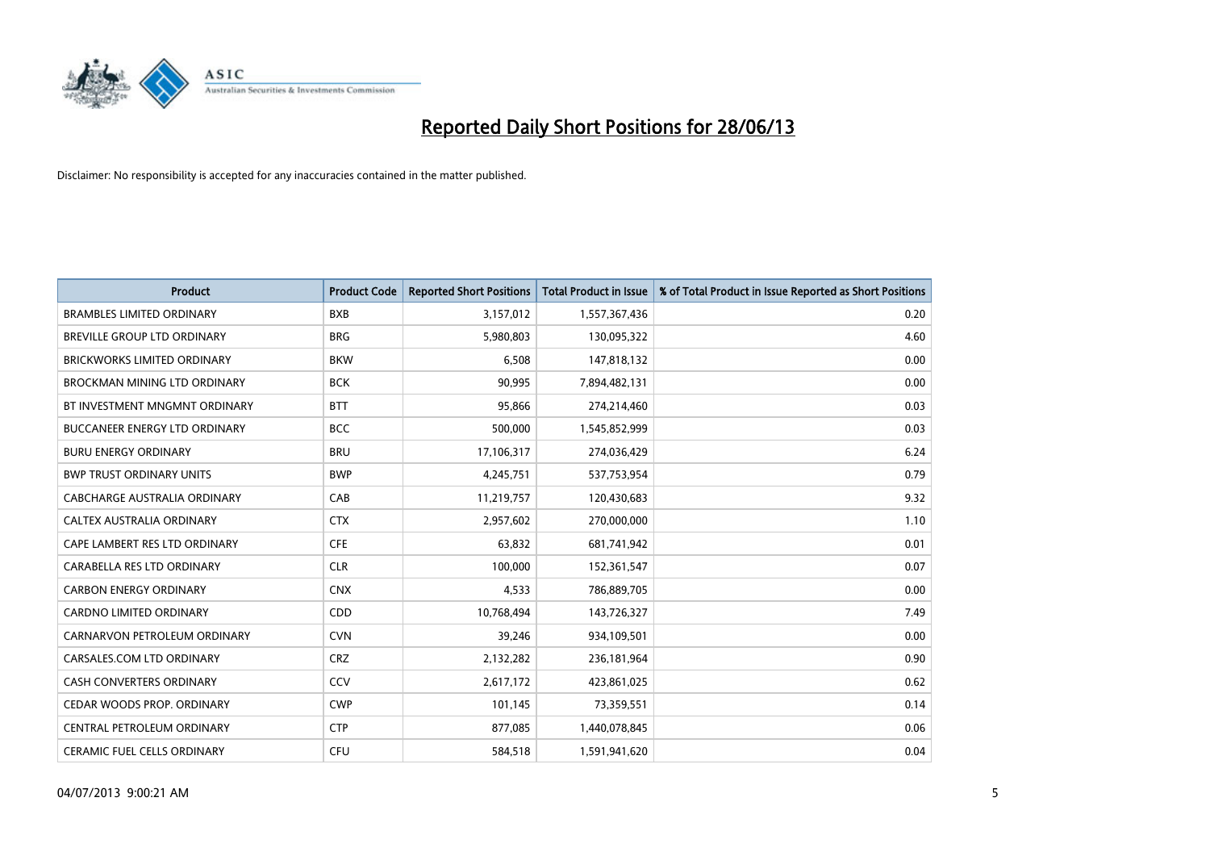

| <b>Product</b>                       | <b>Product Code</b> | <b>Reported Short Positions</b> | <b>Total Product in Issue</b> | % of Total Product in Issue Reported as Short Positions |
|--------------------------------------|---------------------|---------------------------------|-------------------------------|---------------------------------------------------------|
| <b>BRAMBLES LIMITED ORDINARY</b>     | <b>BXB</b>          | 3,157,012                       | 1,557,367,436                 | 0.20                                                    |
| BREVILLE GROUP LTD ORDINARY          | <b>BRG</b>          | 5,980,803                       | 130,095,322                   | 4.60                                                    |
| <b>BRICKWORKS LIMITED ORDINARY</b>   | <b>BKW</b>          | 6,508                           | 147,818,132                   | 0.00                                                    |
| BROCKMAN MINING LTD ORDINARY         | <b>BCK</b>          | 90,995                          | 7,894,482,131                 | 0.00                                                    |
| BT INVESTMENT MNGMNT ORDINARY        | <b>BTT</b>          | 95,866                          | 274,214,460                   | 0.03                                                    |
| <b>BUCCANEER ENERGY LTD ORDINARY</b> | <b>BCC</b>          | 500,000                         | 1,545,852,999                 | 0.03                                                    |
| <b>BURU ENERGY ORDINARY</b>          | <b>BRU</b>          | 17,106,317                      | 274,036,429                   | 6.24                                                    |
| <b>BWP TRUST ORDINARY UNITS</b>      | <b>BWP</b>          | 4,245,751                       | 537,753,954                   | 0.79                                                    |
| <b>CABCHARGE AUSTRALIA ORDINARY</b>  | CAB                 | 11,219,757                      | 120,430,683                   | 9.32                                                    |
| CALTEX AUSTRALIA ORDINARY            | <b>CTX</b>          | 2,957,602                       | 270,000,000                   | 1.10                                                    |
| CAPE LAMBERT RES LTD ORDINARY        | <b>CFE</b>          | 63,832                          | 681,741,942                   | 0.01                                                    |
| CARABELLA RES LTD ORDINARY           | <b>CLR</b>          | 100,000                         | 152,361,547                   | 0.07                                                    |
| <b>CARBON ENERGY ORDINARY</b>        | <b>CNX</b>          | 4,533                           | 786,889,705                   | 0.00                                                    |
| <b>CARDNO LIMITED ORDINARY</b>       | CDD                 | 10,768,494                      | 143,726,327                   | 7.49                                                    |
| CARNARVON PETROLEUM ORDINARY         | <b>CVN</b>          | 39,246                          | 934,109,501                   | 0.00                                                    |
| CARSALES.COM LTD ORDINARY            | <b>CRZ</b>          | 2,132,282                       | 236,181,964                   | 0.90                                                    |
| <b>CASH CONVERTERS ORDINARY</b>      | CCV                 | 2,617,172                       | 423,861,025                   | 0.62                                                    |
| CEDAR WOODS PROP. ORDINARY           | <b>CWP</b>          | 101,145                         | 73,359,551                    | 0.14                                                    |
| CENTRAL PETROLEUM ORDINARY           | <b>CTP</b>          | 877,085                         | 1,440,078,845                 | 0.06                                                    |
| CERAMIC FUEL CELLS ORDINARY          | <b>CFU</b>          | 584,518                         | 1,591,941,620                 | 0.04                                                    |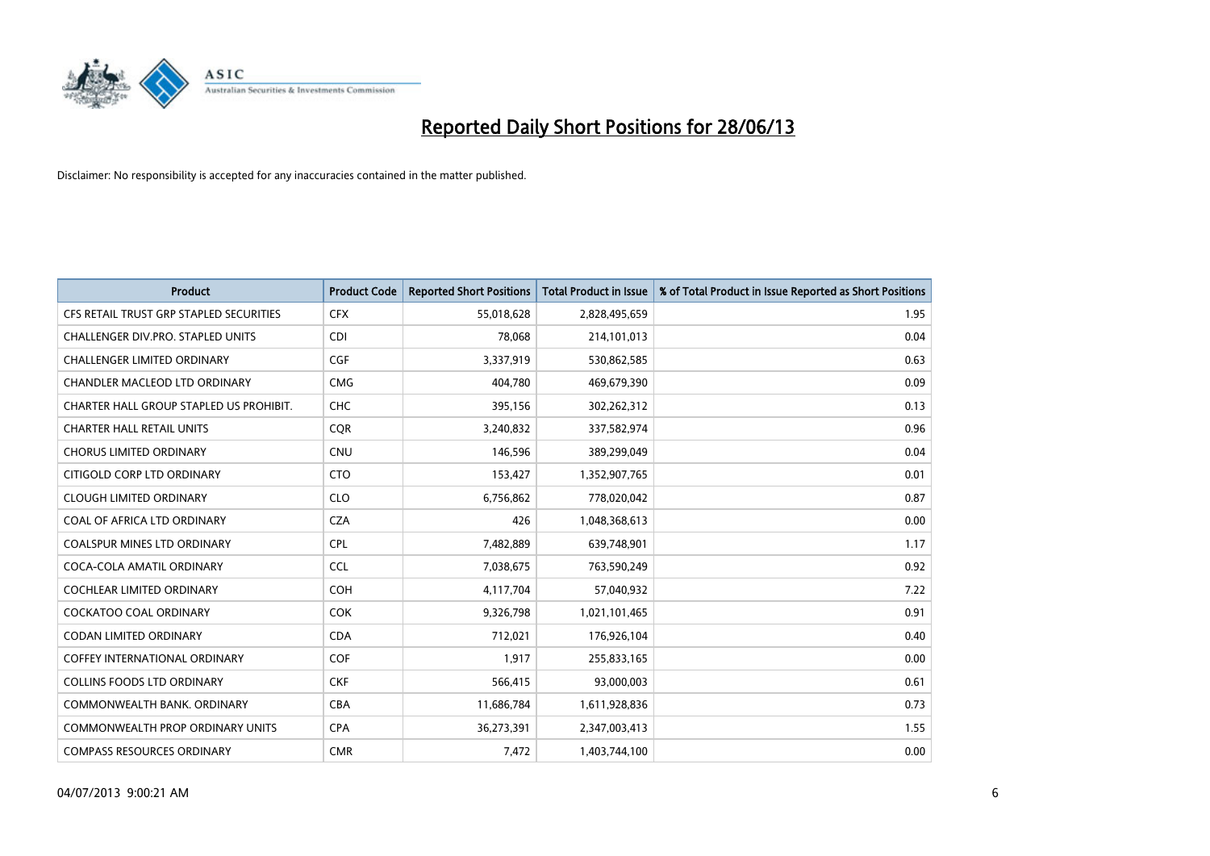

| <b>Product</b>                          | <b>Product Code</b> | <b>Reported Short Positions</b> | <b>Total Product in Issue</b> | % of Total Product in Issue Reported as Short Positions |
|-----------------------------------------|---------------------|---------------------------------|-------------------------------|---------------------------------------------------------|
| CFS RETAIL TRUST GRP STAPLED SECURITIES | <b>CFX</b>          | 55,018,628                      | 2,828,495,659                 | 1.95                                                    |
| CHALLENGER DIV.PRO. STAPLED UNITS       | <b>CDI</b>          | 78,068                          | 214,101,013                   | 0.04                                                    |
| <b>CHALLENGER LIMITED ORDINARY</b>      | <b>CGF</b>          | 3,337,919                       | 530,862,585                   | 0.63                                                    |
| CHANDLER MACLEOD LTD ORDINARY           | <b>CMG</b>          | 404,780                         | 469,679,390                   | 0.09                                                    |
| CHARTER HALL GROUP STAPLED US PROHIBIT. | <b>CHC</b>          | 395,156                         | 302,262,312                   | 0.13                                                    |
| <b>CHARTER HALL RETAIL UNITS</b>        | CQR                 | 3,240,832                       | 337,582,974                   | 0.96                                                    |
| <b>CHORUS LIMITED ORDINARY</b>          | <b>CNU</b>          | 146,596                         | 389,299,049                   | 0.04                                                    |
| CITIGOLD CORP LTD ORDINARY              | <b>CTO</b>          | 153,427                         | 1,352,907,765                 | 0.01                                                    |
| <b>CLOUGH LIMITED ORDINARY</b>          | <b>CLO</b>          | 6,756,862                       | 778,020,042                   | 0.87                                                    |
| COAL OF AFRICA LTD ORDINARY             | <b>CZA</b>          | 426                             | 1,048,368,613                 | 0.00                                                    |
| COALSPUR MINES LTD ORDINARY             | <b>CPL</b>          | 7,482,889                       | 639,748,901                   | 1.17                                                    |
| COCA-COLA AMATIL ORDINARY               | <b>CCL</b>          | 7,038,675                       | 763,590,249                   | 0.92                                                    |
| COCHLEAR LIMITED ORDINARY               | <b>COH</b>          | 4,117,704                       | 57,040,932                    | 7.22                                                    |
| <b>COCKATOO COAL ORDINARY</b>           | <b>COK</b>          | 9,326,798                       | 1,021,101,465                 | 0.91                                                    |
| <b>CODAN LIMITED ORDINARY</b>           | <b>CDA</b>          | 712,021                         | 176,926,104                   | 0.40                                                    |
| COFFEY INTERNATIONAL ORDINARY           | <b>COF</b>          | 1,917                           | 255,833,165                   | 0.00                                                    |
| COLLINS FOODS LTD ORDINARY              | <b>CKF</b>          | 566,415                         | 93,000,003                    | 0.61                                                    |
| COMMONWEALTH BANK, ORDINARY             | <b>CBA</b>          | 11,686,784                      | 1,611,928,836                 | 0.73                                                    |
| <b>COMMONWEALTH PROP ORDINARY UNITS</b> | <b>CPA</b>          | 36,273,391                      | 2,347,003,413                 | 1.55                                                    |
| <b>COMPASS RESOURCES ORDINARY</b>       | <b>CMR</b>          | 7,472                           | 1,403,744,100                 | 0.00                                                    |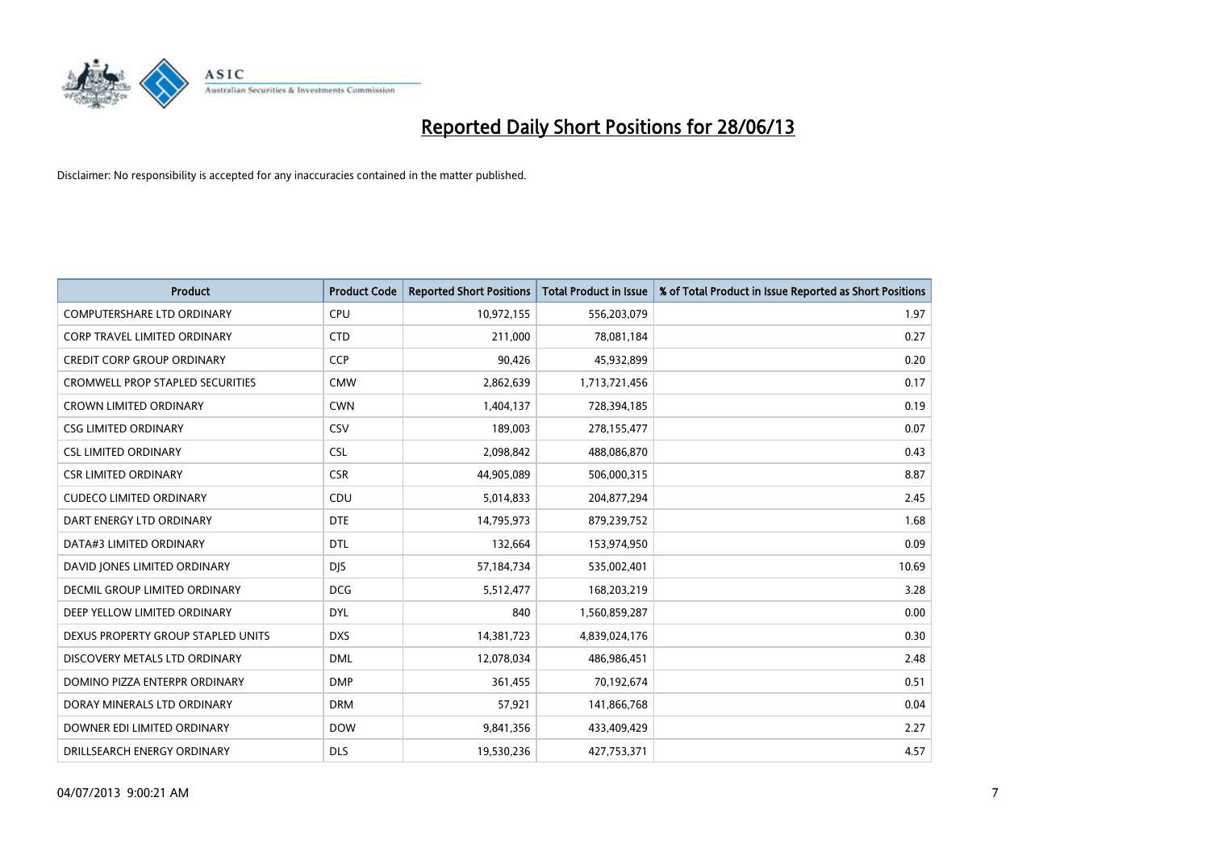

| <b>Product</b>                          | <b>Product Code</b> | <b>Reported Short Positions</b> | <b>Total Product in Issue</b> | % of Total Product in Issue Reported as Short Positions |
|-----------------------------------------|---------------------|---------------------------------|-------------------------------|---------------------------------------------------------|
| <b>COMPUTERSHARE LTD ORDINARY</b>       | <b>CPU</b>          | 10,972,155                      | 556,203,079                   | 1.97                                                    |
| CORP TRAVEL LIMITED ORDINARY            | <b>CTD</b>          | 211,000                         | 78,081,184                    | 0.27                                                    |
| <b>CREDIT CORP GROUP ORDINARY</b>       | <b>CCP</b>          | 90,426                          | 45,932,899                    | 0.20                                                    |
| <b>CROMWELL PROP STAPLED SECURITIES</b> | <b>CMW</b>          | 2,862,639                       | 1,713,721,456                 | 0.17                                                    |
| <b>CROWN LIMITED ORDINARY</b>           | <b>CWN</b>          | 1,404,137                       | 728,394,185                   | 0.19                                                    |
| <b>CSG LIMITED ORDINARY</b>             | CSV                 | 189,003                         | 278,155,477                   | 0.07                                                    |
| <b>CSL LIMITED ORDINARY</b>             | <b>CSL</b>          | 2,098,842                       | 488,086,870                   | 0.43                                                    |
| <b>CSR LIMITED ORDINARY</b>             | <b>CSR</b>          | 44,905,089                      | 506,000,315                   | 8.87                                                    |
| <b>CUDECO LIMITED ORDINARY</b>          | CDU                 | 5,014,833                       | 204,877,294                   | 2.45                                                    |
| DART ENERGY LTD ORDINARY                | <b>DTE</b>          | 14,795,973                      | 879,239,752                   | 1.68                                                    |
| DATA#3 LIMITED ORDINARY                 | DTL                 | 132,664                         | 153,974,950                   | 0.09                                                    |
| DAVID JONES LIMITED ORDINARY            | <b>DJS</b>          | 57,184,734                      | 535,002,401                   | 10.69                                                   |
| DECMIL GROUP LIMITED ORDINARY           | <b>DCG</b>          | 5,512,477                       | 168,203,219                   | 3.28                                                    |
| DEEP YELLOW LIMITED ORDINARY            | <b>DYL</b>          | 840                             | 1,560,859,287                 | 0.00                                                    |
| DEXUS PROPERTY GROUP STAPLED UNITS      | <b>DXS</b>          | 14,381,723                      | 4,839,024,176                 | 0.30                                                    |
| DISCOVERY METALS LTD ORDINARY           | <b>DML</b>          | 12,078,034                      | 486,986,451                   | 2.48                                                    |
| DOMINO PIZZA ENTERPR ORDINARY           | <b>DMP</b>          | 361,455                         | 70,192,674                    | 0.51                                                    |
| DORAY MINERALS LTD ORDINARY             | <b>DRM</b>          | 57,921                          | 141,866,768                   | 0.04                                                    |
| DOWNER EDI LIMITED ORDINARY             | <b>DOW</b>          | 9,841,356                       | 433,409,429                   | 2.27                                                    |
| DRILLSEARCH ENERGY ORDINARY             | <b>DLS</b>          | 19,530,236                      | 427,753,371                   | 4.57                                                    |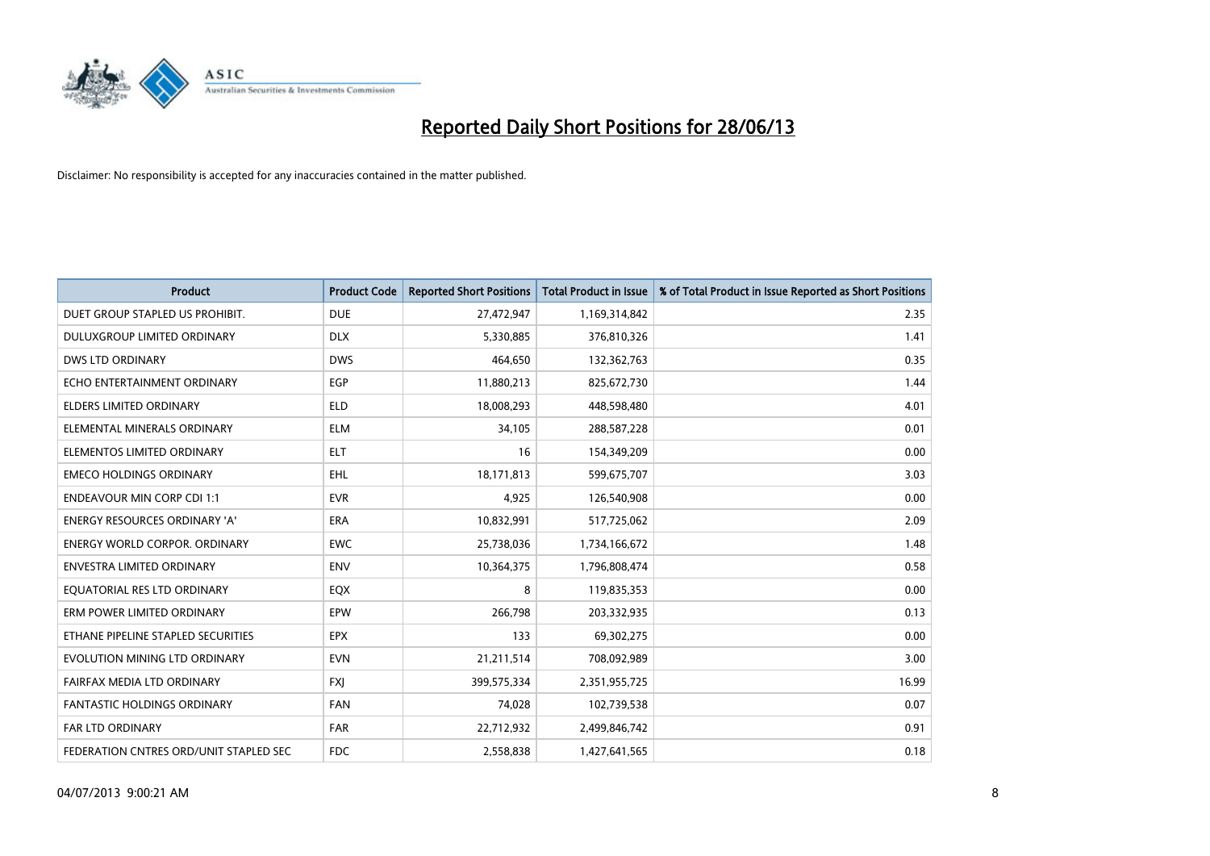

| <b>Product</b>                         | <b>Product Code</b> | <b>Reported Short Positions</b> | <b>Total Product in Issue</b> | % of Total Product in Issue Reported as Short Positions |
|----------------------------------------|---------------------|---------------------------------|-------------------------------|---------------------------------------------------------|
| DUET GROUP STAPLED US PROHIBIT.        | <b>DUE</b>          | 27,472,947                      | 1,169,314,842                 | 2.35                                                    |
| DULUXGROUP LIMITED ORDINARY            | <b>DLX</b>          | 5,330,885                       | 376,810,326                   | 1.41                                                    |
| <b>DWS LTD ORDINARY</b>                | <b>DWS</b>          | 464,650                         | 132,362,763                   | 0.35                                                    |
| ECHO ENTERTAINMENT ORDINARY            | <b>EGP</b>          | 11,880,213                      | 825,672,730                   | 1.44                                                    |
| <b>ELDERS LIMITED ORDINARY</b>         | <b>ELD</b>          | 18,008,293                      | 448,598,480                   | 4.01                                                    |
| ELEMENTAL MINERALS ORDINARY            | <b>ELM</b>          | 34,105                          | 288,587,228                   | 0.01                                                    |
| ELEMENTOS LIMITED ORDINARY             | <b>ELT</b>          | 16                              | 154,349,209                   | 0.00                                                    |
| <b>EMECO HOLDINGS ORDINARY</b>         | <b>EHL</b>          | 18,171,813                      | 599,675,707                   | 3.03                                                    |
| <b>ENDEAVOUR MIN CORP CDI 1:1</b>      | <b>EVR</b>          | 4,925                           | 126,540,908                   | 0.00                                                    |
| <b>ENERGY RESOURCES ORDINARY 'A'</b>   | <b>ERA</b>          | 10,832,991                      | 517,725,062                   | 2.09                                                    |
| <b>ENERGY WORLD CORPOR, ORDINARY</b>   | <b>EWC</b>          | 25,738,036                      | 1,734,166,672                 | 1.48                                                    |
| ENVESTRA LIMITED ORDINARY              | ENV                 | 10,364,375                      | 1,796,808,474                 | 0.58                                                    |
| EQUATORIAL RES LTD ORDINARY            | EQX                 | 8                               | 119,835,353                   | 0.00                                                    |
| ERM POWER LIMITED ORDINARY             | EPW                 | 266,798                         | 203,332,935                   | 0.13                                                    |
| ETHANE PIPELINE STAPLED SECURITIES     | <b>EPX</b>          | 133                             | 69,302,275                    | 0.00                                                    |
| EVOLUTION MINING LTD ORDINARY          | <b>EVN</b>          | 21,211,514                      | 708,092,989                   | 3.00                                                    |
| FAIRFAX MEDIA LTD ORDINARY             | <b>FXJ</b>          | 399,575,334                     | 2,351,955,725                 | 16.99                                                   |
| FANTASTIC HOLDINGS ORDINARY            | <b>FAN</b>          | 74,028                          | 102,739,538                   | 0.07                                                    |
| FAR LTD ORDINARY                       | <b>FAR</b>          | 22,712,932                      | 2,499,846,742                 | 0.91                                                    |
| FEDERATION CNTRES ORD/UNIT STAPLED SEC | <b>FDC</b>          | 2,558,838                       | 1,427,641,565                 | 0.18                                                    |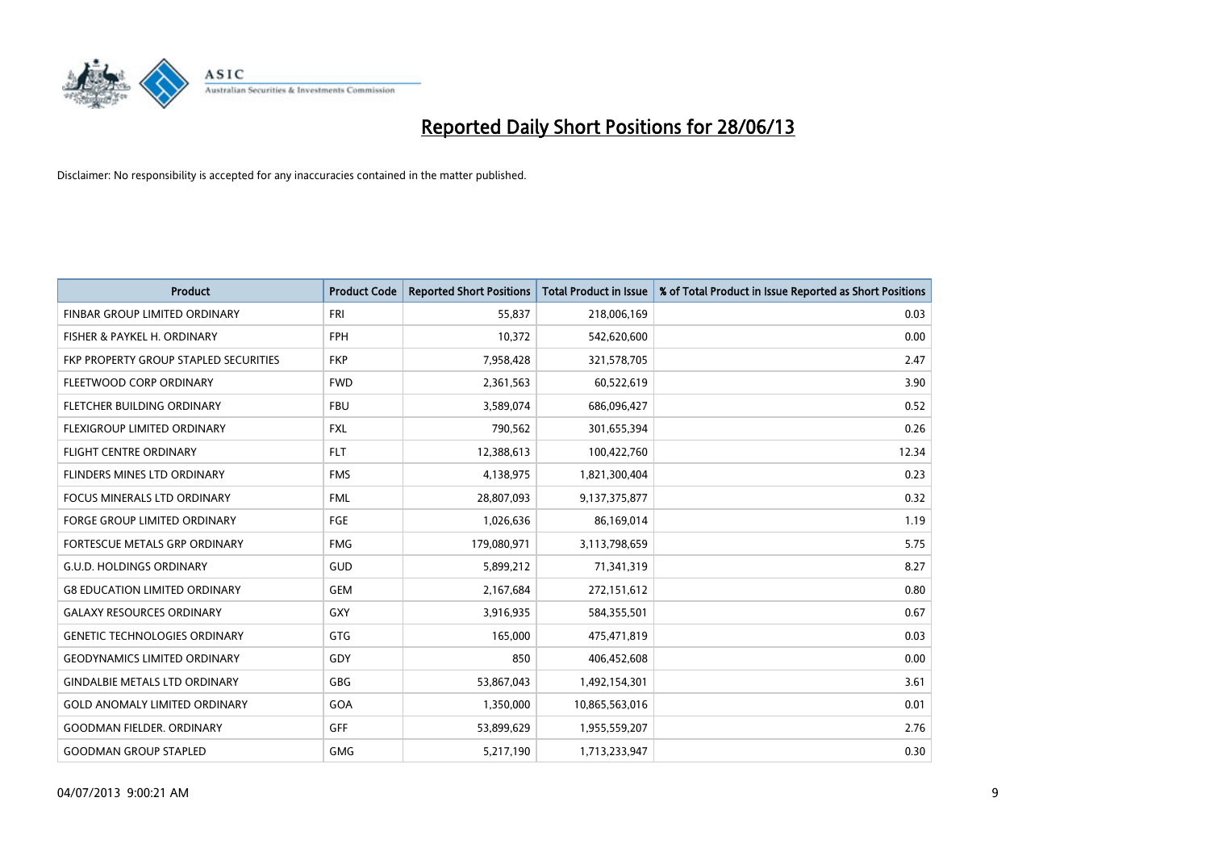

| <b>Product</b>                        | <b>Product Code</b> | <b>Reported Short Positions</b> | <b>Total Product in Issue</b> | % of Total Product in Issue Reported as Short Positions |
|---------------------------------------|---------------------|---------------------------------|-------------------------------|---------------------------------------------------------|
| FINBAR GROUP LIMITED ORDINARY         | <b>FRI</b>          | 55,837                          | 218,006,169                   | 0.03                                                    |
| FISHER & PAYKEL H. ORDINARY           | <b>FPH</b>          | 10,372                          | 542,620,600                   | 0.00                                                    |
| FKP PROPERTY GROUP STAPLED SECURITIES | <b>FKP</b>          | 7,958,428                       | 321,578,705                   | 2.47                                                    |
| FLEETWOOD CORP ORDINARY               | <b>FWD</b>          | 2,361,563                       | 60,522,619                    | 3.90                                                    |
| FLETCHER BUILDING ORDINARY            | <b>FBU</b>          | 3,589,074                       | 686,096,427                   | 0.52                                                    |
| FLEXIGROUP LIMITED ORDINARY           | <b>FXL</b>          | 790,562                         | 301,655,394                   | 0.26                                                    |
| <b>FLIGHT CENTRE ORDINARY</b>         | <b>FLT</b>          | 12,388,613                      | 100,422,760                   | 12.34                                                   |
| FLINDERS MINES LTD ORDINARY           | <b>FMS</b>          | 4,138,975                       | 1,821,300,404                 | 0.23                                                    |
| <b>FOCUS MINERALS LTD ORDINARY</b>    | <b>FML</b>          | 28,807,093                      | 9,137,375,877                 | 0.32                                                    |
| <b>FORGE GROUP LIMITED ORDINARY</b>   | FGE                 | 1,026,636                       | 86,169,014                    | 1.19                                                    |
| FORTESCUE METALS GRP ORDINARY         | <b>FMG</b>          | 179,080,971                     | 3,113,798,659                 | 5.75                                                    |
| <b>G.U.D. HOLDINGS ORDINARY</b>       | GUD                 | 5,899,212                       | 71,341,319                    | 8.27                                                    |
| <b>G8 EDUCATION LIMITED ORDINARY</b>  | <b>GEM</b>          | 2,167,684                       | 272,151,612                   | 0.80                                                    |
| <b>GALAXY RESOURCES ORDINARY</b>      | GXY                 | 3,916,935                       | 584,355,501                   | 0.67                                                    |
| <b>GENETIC TECHNOLOGIES ORDINARY</b>  | GTG                 | 165,000                         | 475,471,819                   | 0.03                                                    |
| <b>GEODYNAMICS LIMITED ORDINARY</b>   | GDY                 | 850                             | 406,452,608                   | 0.00                                                    |
| <b>GINDALBIE METALS LTD ORDINARY</b>  | GBG                 | 53,867,043                      | 1,492,154,301                 | 3.61                                                    |
| <b>GOLD ANOMALY LIMITED ORDINARY</b>  | GOA                 | 1,350,000                       | 10,865,563,016                | 0.01                                                    |
| GOODMAN FIELDER. ORDINARY             | <b>GFF</b>          | 53,899,629                      | 1,955,559,207                 | 2.76                                                    |
| <b>GOODMAN GROUP STAPLED</b>          | <b>GMG</b>          | 5,217,190                       | 1,713,233,947                 | 0.30                                                    |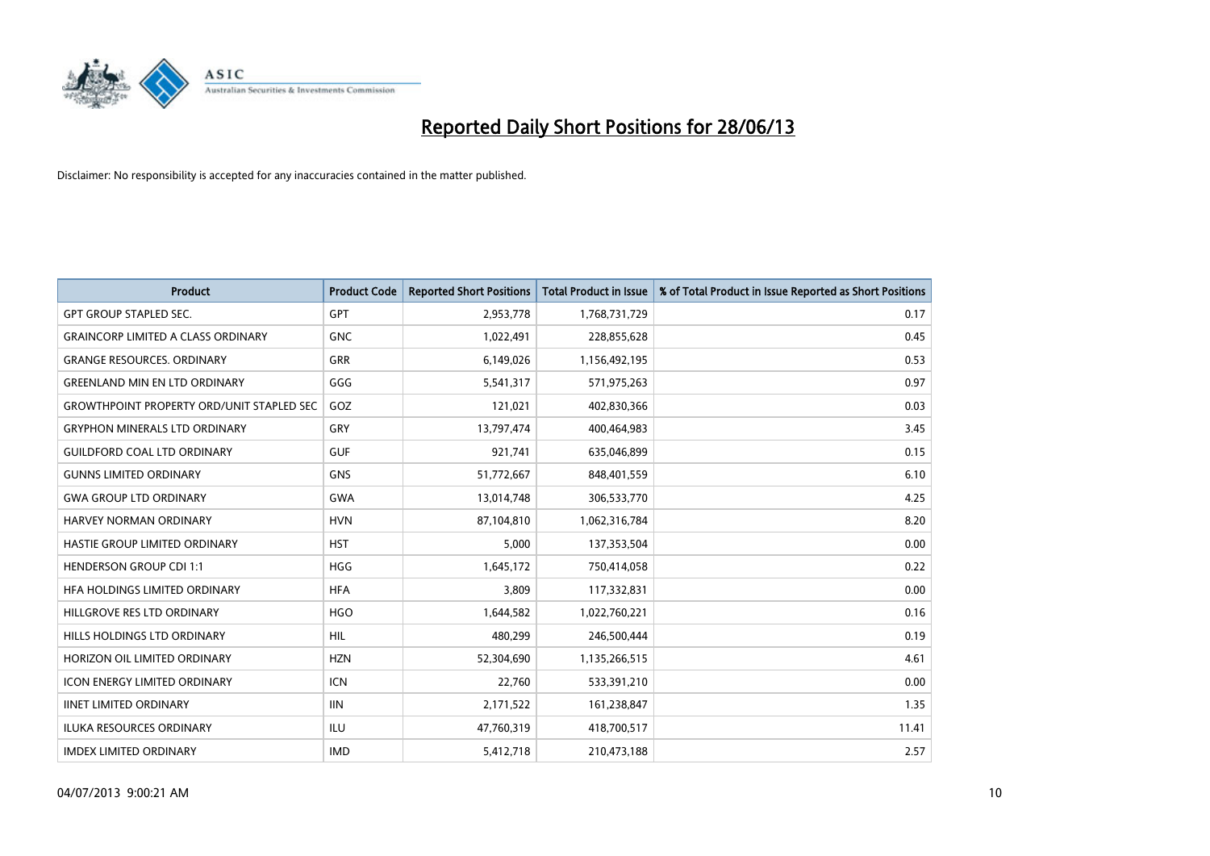

| <b>Product</b>                                    | <b>Product Code</b> | <b>Reported Short Positions</b> | <b>Total Product in Issue</b> | % of Total Product in Issue Reported as Short Positions |
|---------------------------------------------------|---------------------|---------------------------------|-------------------------------|---------------------------------------------------------|
| <b>GPT GROUP STAPLED SEC.</b>                     | GPT                 | 2,953,778                       | 1,768,731,729                 | 0.17                                                    |
| <b>GRAINCORP LIMITED A CLASS ORDINARY</b>         | <b>GNC</b>          | 1,022,491                       | 228,855,628                   | 0.45                                                    |
| <b>GRANGE RESOURCES. ORDINARY</b>                 | GRR                 | 6,149,026                       | 1,156,492,195                 | 0.53                                                    |
| <b>GREENLAND MIN EN LTD ORDINARY</b>              | GGG                 | 5,541,317                       | 571,975,263                   | 0.97                                                    |
| <b>GROWTHPOINT PROPERTY ORD/UNIT STAPLED SEC.</b> | GOZ                 | 121,021                         | 402,830,366                   | 0.03                                                    |
| <b>GRYPHON MINERALS LTD ORDINARY</b>              | GRY                 | 13,797,474                      | 400,464,983                   | 3.45                                                    |
| <b>GUILDFORD COAL LTD ORDINARY</b>                | <b>GUF</b>          | 921,741                         | 635,046,899                   | 0.15                                                    |
| <b>GUNNS LIMITED ORDINARY</b>                     | <b>GNS</b>          | 51,772,667                      | 848,401,559                   | 6.10                                                    |
| <b>GWA GROUP LTD ORDINARY</b>                     | <b>GWA</b>          | 13,014,748                      | 306,533,770                   | 4.25                                                    |
| <b>HARVEY NORMAN ORDINARY</b>                     | <b>HVN</b>          | 87,104,810                      | 1,062,316,784                 | 8.20                                                    |
| <b>HASTIE GROUP LIMITED ORDINARY</b>              | <b>HST</b>          | 5,000                           | 137,353,504                   | 0.00                                                    |
| <b>HENDERSON GROUP CDI 1:1</b>                    | <b>HGG</b>          | 1,645,172                       | 750,414,058                   | 0.22                                                    |
| HFA HOLDINGS LIMITED ORDINARY                     | <b>HFA</b>          | 3.809                           | 117,332,831                   | 0.00                                                    |
| HILLGROVE RES LTD ORDINARY                        | <b>HGO</b>          | 1,644,582                       | 1,022,760,221                 | 0.16                                                    |
| HILLS HOLDINGS LTD ORDINARY                       | <b>HIL</b>          | 480,299                         | 246,500,444                   | 0.19                                                    |
| HORIZON OIL LIMITED ORDINARY                      | <b>HZN</b>          | 52,304,690                      | 1,135,266,515                 | 4.61                                                    |
| ICON ENERGY LIMITED ORDINARY                      | <b>ICN</b>          | 22,760                          | 533,391,210                   | 0.00                                                    |
| <b>IINET LIMITED ORDINARY</b>                     | <b>IIN</b>          | 2,171,522                       | 161,238,847                   | 1.35                                                    |
| <b>ILUKA RESOURCES ORDINARY</b>                   | ILU                 | 47,760,319                      | 418,700,517                   | 11.41                                                   |
| <b>IMDEX LIMITED ORDINARY</b>                     | <b>IMD</b>          | 5,412,718                       | 210,473,188                   | 2.57                                                    |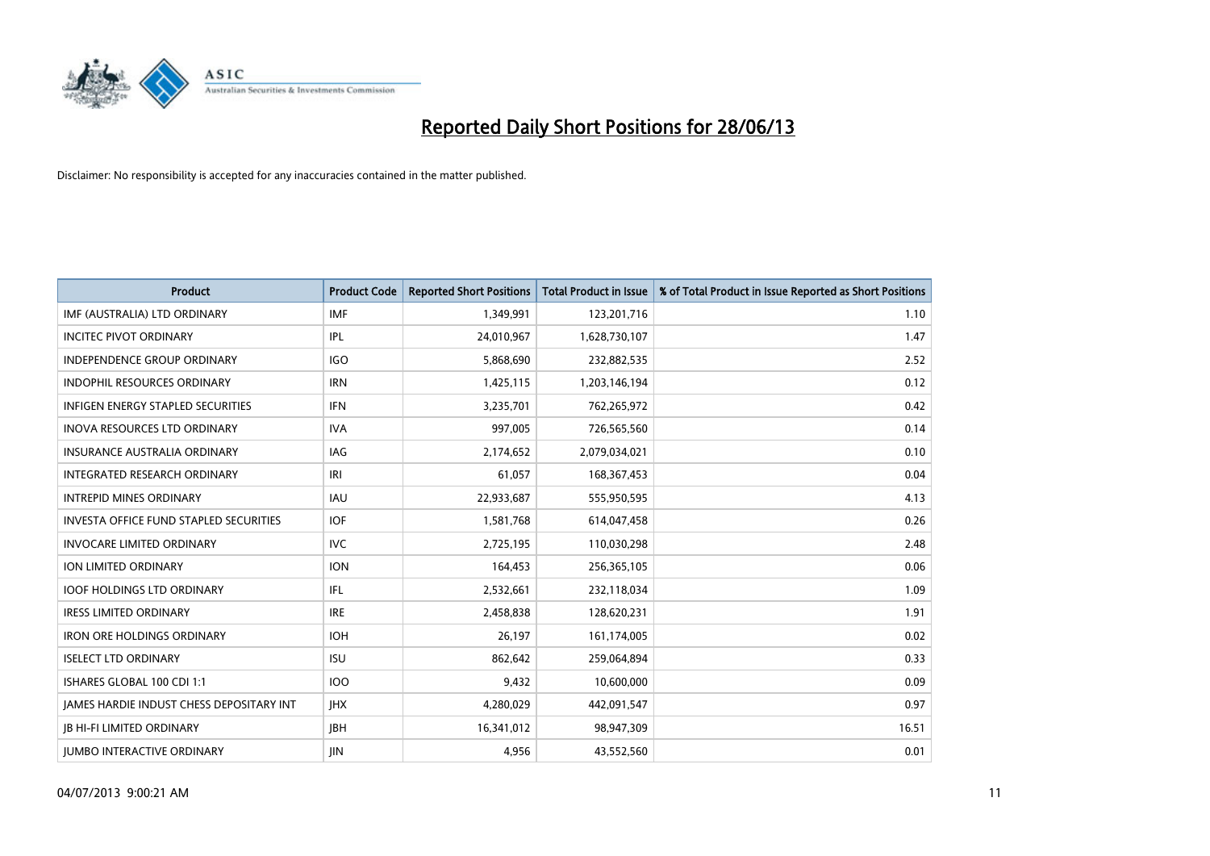

| <b>Product</b>                           | <b>Product Code</b> | <b>Reported Short Positions</b> | <b>Total Product in Issue</b> | % of Total Product in Issue Reported as Short Positions |
|------------------------------------------|---------------------|---------------------------------|-------------------------------|---------------------------------------------------------|
| IMF (AUSTRALIA) LTD ORDINARY             | <b>IMF</b>          | 1,349,991                       | 123,201,716                   | 1.10                                                    |
| <b>INCITEC PIVOT ORDINARY</b>            | IPL                 | 24,010,967                      | 1,628,730,107                 | 1.47                                                    |
| <b>INDEPENDENCE GROUP ORDINARY</b>       | <b>IGO</b>          | 5,868,690                       | 232,882,535                   | 2.52                                                    |
| INDOPHIL RESOURCES ORDINARY              | <b>IRN</b>          | 1,425,115                       | 1,203,146,194                 | 0.12                                                    |
| <b>INFIGEN ENERGY STAPLED SECURITIES</b> | <b>IFN</b>          | 3,235,701                       | 762,265,972                   | 0.42                                                    |
| <b>INOVA RESOURCES LTD ORDINARY</b>      | <b>IVA</b>          | 997,005                         | 726,565,560                   | 0.14                                                    |
| <b>INSURANCE AUSTRALIA ORDINARY</b>      | IAG                 | 2,174,652                       | 2,079,034,021                 | 0.10                                                    |
| INTEGRATED RESEARCH ORDINARY             | IRI                 | 61,057                          | 168,367,453                   | 0.04                                                    |
| <b>INTREPID MINES ORDINARY</b>           | <b>IAU</b>          | 22,933,687                      | 555,950,595                   | 4.13                                                    |
| INVESTA OFFICE FUND STAPLED SECURITIES   | IOF.                | 1,581,768                       | 614,047,458                   | 0.26                                                    |
| <b>INVOCARE LIMITED ORDINARY</b>         | <b>IVC</b>          | 2,725,195                       | 110,030,298                   | 2.48                                                    |
| ION LIMITED ORDINARY                     | <b>ION</b>          | 164,453                         | 256,365,105                   | 0.06                                                    |
| <b>IOOF HOLDINGS LTD ORDINARY</b>        | IFL                 | 2,532,661                       | 232,118,034                   | 1.09                                                    |
| <b>IRESS LIMITED ORDINARY</b>            | <b>IRE</b>          | 2,458,838                       | 128,620,231                   | 1.91                                                    |
| <b>IRON ORE HOLDINGS ORDINARY</b>        | <b>IOH</b>          | 26,197                          | 161,174,005                   | 0.02                                                    |
| <b>ISELECT LTD ORDINARY</b>              | <b>ISU</b>          | 862,642                         | 259,064,894                   | 0.33                                                    |
| ISHARES GLOBAL 100 CDI 1:1               | 100                 | 9,432                           | 10,600,000                    | 0.09                                                    |
| JAMES HARDIE INDUST CHESS DEPOSITARY INT | <b>IHX</b>          | 4,280,029                       | 442,091,547                   | 0.97                                                    |
| <b>IB HI-FI LIMITED ORDINARY</b>         | <b>JBH</b>          | 16,341,012                      | 98,947,309                    | 16.51                                                   |
| <b>JUMBO INTERACTIVE ORDINARY</b>        | <b>JIN</b>          | 4,956                           | 43,552,560                    | 0.01                                                    |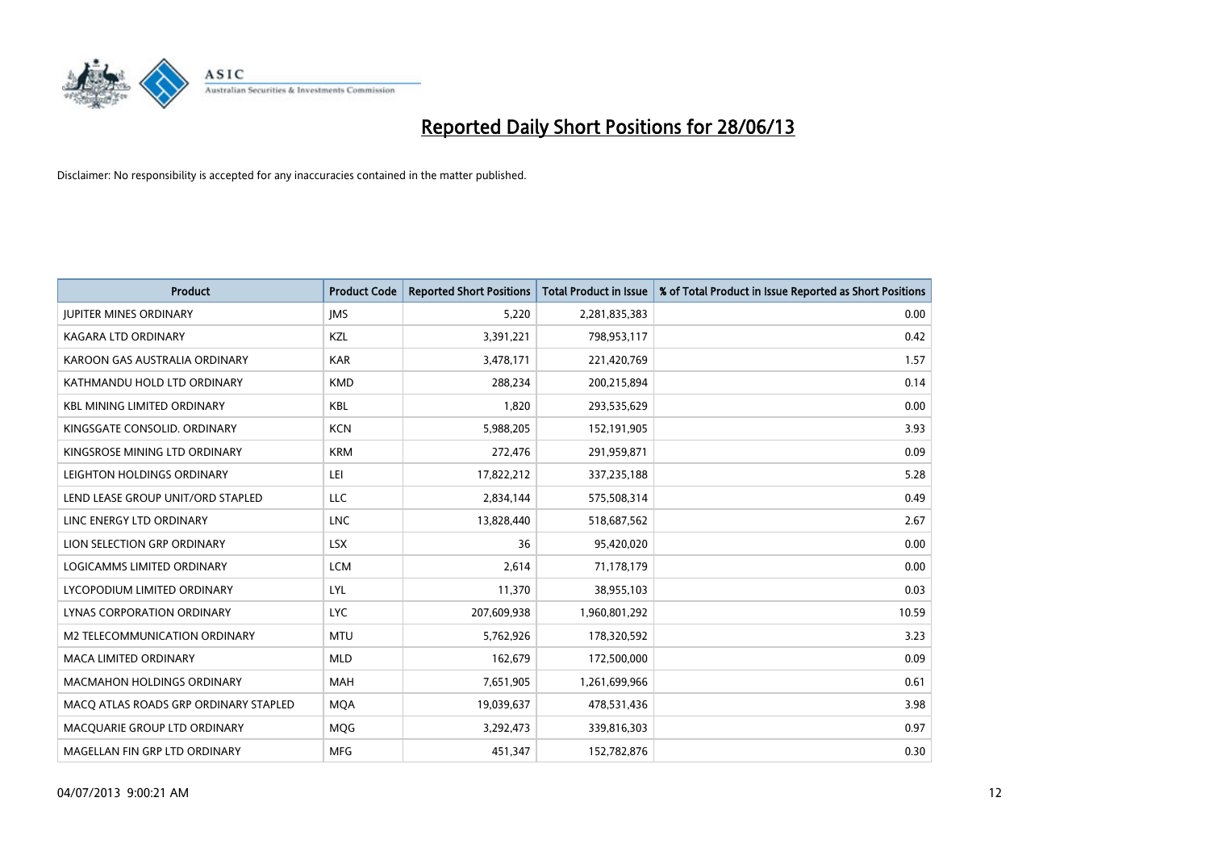

| <b>Product</b>                        | <b>Product Code</b> | <b>Reported Short Positions</b> | <b>Total Product in Issue</b> | % of Total Product in Issue Reported as Short Positions |
|---------------------------------------|---------------------|---------------------------------|-------------------------------|---------------------------------------------------------|
| <b>JUPITER MINES ORDINARY</b>         | <b>IMS</b>          | 5,220                           | 2,281,835,383                 | 0.00                                                    |
| KAGARA LTD ORDINARY                   | KZL                 | 3,391,221                       | 798,953,117                   | 0.42                                                    |
| KAROON GAS AUSTRALIA ORDINARY         | <b>KAR</b>          | 3,478,171                       | 221,420,769                   | 1.57                                                    |
| KATHMANDU HOLD LTD ORDINARY           | <b>KMD</b>          | 288,234                         | 200,215,894                   | 0.14                                                    |
| <b>KBL MINING LIMITED ORDINARY</b>    | <b>KBL</b>          | 1,820                           | 293,535,629                   | 0.00                                                    |
| KINGSGATE CONSOLID. ORDINARY          | <b>KCN</b>          | 5,988,205                       | 152,191,905                   | 3.93                                                    |
| KINGSROSE MINING LTD ORDINARY         | <b>KRM</b>          | 272,476                         | 291,959,871                   | 0.09                                                    |
| LEIGHTON HOLDINGS ORDINARY            | LEI                 | 17,822,212                      | 337,235,188                   | 5.28                                                    |
| LEND LEASE GROUP UNIT/ORD STAPLED     | <b>LLC</b>          | 2,834,144                       | 575,508,314                   | 0.49                                                    |
| LINC ENERGY LTD ORDINARY              | <b>LNC</b>          | 13,828,440                      | 518,687,562                   | 2.67                                                    |
| LION SELECTION GRP ORDINARY           | <b>LSX</b>          | 36                              | 95,420,020                    | 0.00                                                    |
| LOGICAMMS LIMITED ORDINARY            | <b>LCM</b>          | 2,614                           | 71,178,179                    | 0.00                                                    |
| LYCOPODIUM LIMITED ORDINARY           | <b>LYL</b>          | 11,370                          | 38,955,103                    | 0.03                                                    |
| LYNAS CORPORATION ORDINARY            | <b>LYC</b>          | 207,609,938                     | 1,960,801,292                 | 10.59                                                   |
| <b>M2 TELECOMMUNICATION ORDINARY</b>  | <b>MTU</b>          | 5,762,926                       | 178,320,592                   | 3.23                                                    |
| MACA LIMITED ORDINARY                 | <b>MLD</b>          | 162,679                         | 172,500,000                   | 0.09                                                    |
| MACMAHON HOLDINGS ORDINARY            | MAH                 | 7,651,905                       | 1,261,699,966                 | 0.61                                                    |
| MACO ATLAS ROADS GRP ORDINARY STAPLED | <b>MOA</b>          | 19,039,637                      | 478,531,436                   | 3.98                                                    |
| MACQUARIE GROUP LTD ORDINARY          | <b>MOG</b>          | 3,292,473                       | 339,816,303                   | 0.97                                                    |
| MAGELLAN FIN GRP LTD ORDINARY         | <b>MFG</b>          | 451,347                         | 152,782,876                   | 0.30                                                    |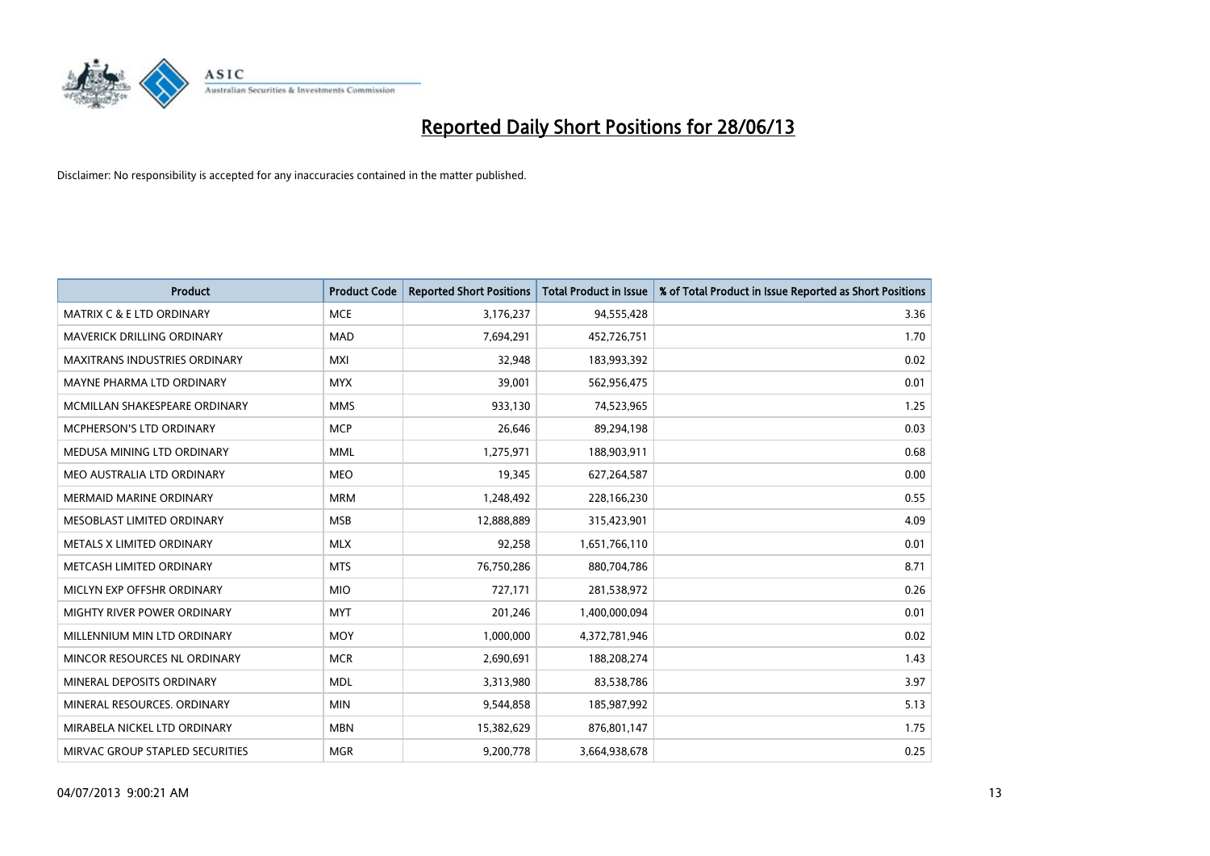

| <b>Product</b>                       | <b>Product Code</b> | <b>Reported Short Positions</b> | <b>Total Product in Issue</b> | % of Total Product in Issue Reported as Short Positions |
|--------------------------------------|---------------------|---------------------------------|-------------------------------|---------------------------------------------------------|
| <b>MATRIX C &amp; E LTD ORDINARY</b> | <b>MCE</b>          | 3,176,237                       | 94,555,428                    | 3.36                                                    |
| MAVERICK DRILLING ORDINARY           | <b>MAD</b>          | 7,694,291                       | 452,726,751                   | 1.70                                                    |
| <b>MAXITRANS INDUSTRIES ORDINARY</b> | <b>MXI</b>          | 32,948                          | 183,993,392                   | 0.02                                                    |
| MAYNE PHARMA LTD ORDINARY            | <b>MYX</b>          | 39,001                          | 562,956,475                   | 0.01                                                    |
| MCMILLAN SHAKESPEARE ORDINARY        | <b>MMS</b>          | 933,130                         | 74,523,965                    | 1.25                                                    |
| <b>MCPHERSON'S LTD ORDINARY</b>      | <b>MCP</b>          | 26,646                          | 89,294,198                    | 0.03                                                    |
| MEDUSA MINING LTD ORDINARY           | <b>MML</b>          | 1,275,971                       | 188,903,911                   | 0.68                                                    |
| MEO AUSTRALIA LTD ORDINARY           | <b>MEO</b>          | 19,345                          | 627,264,587                   | 0.00                                                    |
| <b>MERMAID MARINE ORDINARY</b>       | <b>MRM</b>          | 1,248,492                       | 228,166,230                   | 0.55                                                    |
| MESOBLAST LIMITED ORDINARY           | <b>MSB</b>          | 12,888,889                      | 315,423,901                   | 4.09                                                    |
| METALS X LIMITED ORDINARY            | <b>MLX</b>          | 92,258                          | 1,651,766,110                 | 0.01                                                    |
| METCASH LIMITED ORDINARY             | <b>MTS</b>          | 76,750,286                      | 880,704,786                   | 8.71                                                    |
| MICLYN EXP OFFSHR ORDINARY           | <b>MIO</b>          | 727,171                         | 281,538,972                   | 0.26                                                    |
| MIGHTY RIVER POWER ORDINARY          | <b>MYT</b>          | 201,246                         | 1,400,000,094                 | 0.01                                                    |
| MILLENNIUM MIN LTD ORDINARY          | <b>MOY</b>          | 1,000,000                       | 4,372,781,946                 | 0.02                                                    |
| MINCOR RESOURCES NL ORDINARY         | <b>MCR</b>          | 2,690,691                       | 188,208,274                   | 1.43                                                    |
| MINERAL DEPOSITS ORDINARY            | <b>MDL</b>          | 3,313,980                       | 83,538,786                    | 3.97                                                    |
| MINERAL RESOURCES. ORDINARY          | <b>MIN</b>          | 9,544,858                       | 185,987,992                   | 5.13                                                    |
| MIRABELA NICKEL LTD ORDINARY         | <b>MBN</b>          | 15,382,629                      | 876,801,147                   | 1.75                                                    |
| MIRVAC GROUP STAPLED SECURITIES      | <b>MGR</b>          | 9,200,778                       | 3,664,938,678                 | 0.25                                                    |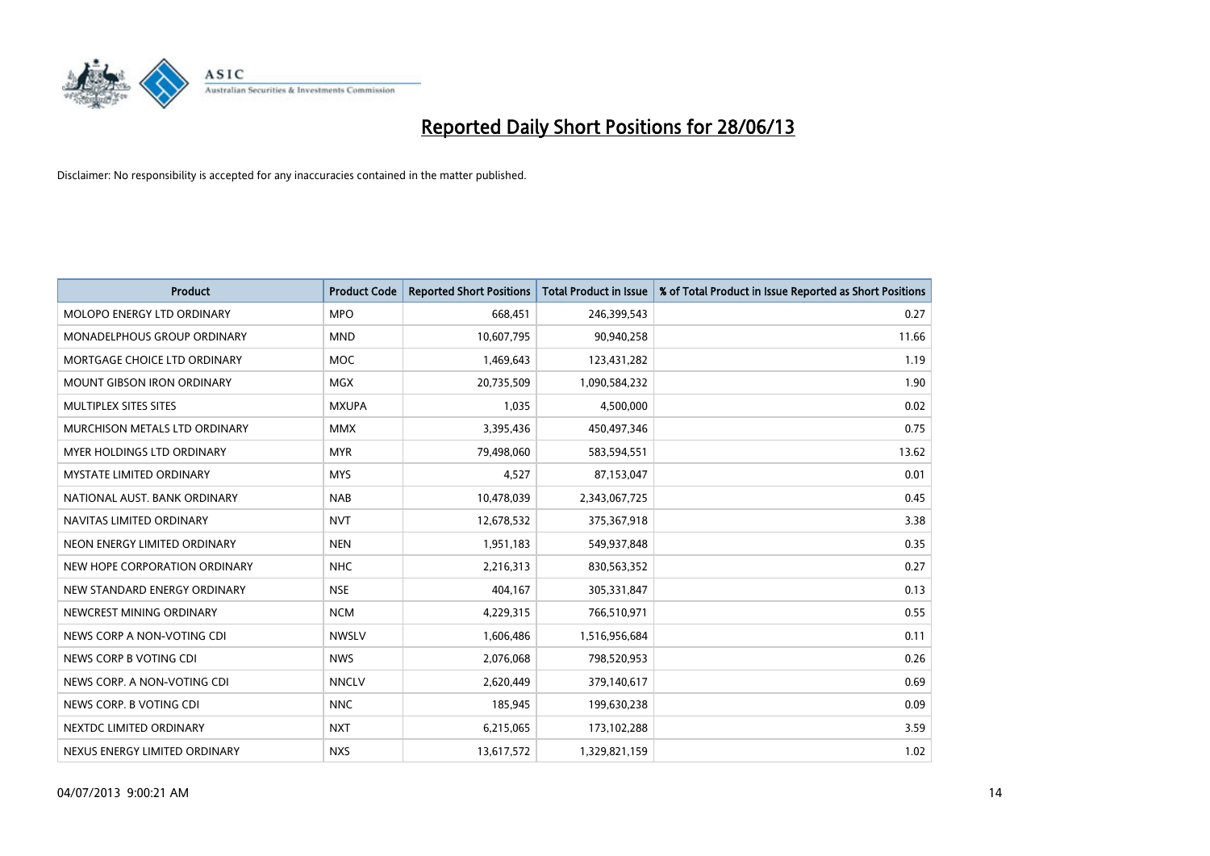

| <b>Product</b>                    | <b>Product Code</b> | <b>Reported Short Positions</b> | <b>Total Product in Issue</b> | % of Total Product in Issue Reported as Short Positions |
|-----------------------------------|---------------------|---------------------------------|-------------------------------|---------------------------------------------------------|
| MOLOPO ENERGY LTD ORDINARY        | <b>MPO</b>          | 668,451                         | 246,399,543                   | 0.27                                                    |
| MONADELPHOUS GROUP ORDINARY       | <b>MND</b>          | 10,607,795                      | 90,940,258                    | 11.66                                                   |
| MORTGAGE CHOICE LTD ORDINARY      | MOC                 | 1,469,643                       | 123,431,282                   | 1.19                                                    |
| <b>MOUNT GIBSON IRON ORDINARY</b> | <b>MGX</b>          | 20,735,509                      | 1,090,584,232                 | 1.90                                                    |
| MULTIPLEX SITES SITES             | <b>MXUPA</b>        | 1,035                           | 4,500,000                     | 0.02                                                    |
| MURCHISON METALS LTD ORDINARY     | <b>MMX</b>          | 3,395,436                       | 450,497,346                   | 0.75                                                    |
| <b>MYER HOLDINGS LTD ORDINARY</b> | <b>MYR</b>          | 79,498,060                      | 583,594,551                   | 13.62                                                   |
| <b>MYSTATE LIMITED ORDINARY</b>   | <b>MYS</b>          | 4,527                           | 87,153,047                    | 0.01                                                    |
| NATIONAL AUST, BANK ORDINARY      | <b>NAB</b>          | 10,478,039                      | 2,343,067,725                 | 0.45                                                    |
| NAVITAS LIMITED ORDINARY          | <b>NVT</b>          | 12,678,532                      | 375,367,918                   | 3.38                                                    |
| NEON ENERGY LIMITED ORDINARY      | <b>NEN</b>          | 1,951,183                       | 549,937,848                   | 0.35                                                    |
| NEW HOPE CORPORATION ORDINARY     | <b>NHC</b>          | 2,216,313                       | 830,563,352                   | 0.27                                                    |
| NEW STANDARD ENERGY ORDINARY      | <b>NSE</b>          | 404,167                         | 305,331,847                   | 0.13                                                    |
| NEWCREST MINING ORDINARY          | <b>NCM</b>          | 4,229,315                       | 766,510,971                   | 0.55                                                    |
| NEWS CORP A NON-VOTING CDI        | <b>NWSLV</b>        | 1,606,486                       | 1,516,956,684                 | 0.11                                                    |
| NEWS CORP B VOTING CDI            | <b>NWS</b>          | 2,076,068                       | 798,520,953                   | 0.26                                                    |
| NEWS CORP. A NON-VOTING CDI       | <b>NNCLV</b>        | 2,620,449                       | 379,140,617                   | 0.69                                                    |
| NEWS CORP. B VOTING CDI           | <b>NNC</b>          | 185,945                         | 199,630,238                   | 0.09                                                    |
| NEXTDC LIMITED ORDINARY           | <b>NXT</b>          | 6,215,065                       | 173,102,288                   | 3.59                                                    |
| NEXUS ENERGY LIMITED ORDINARY     | <b>NXS</b>          | 13,617,572                      | 1,329,821,159                 | 1.02                                                    |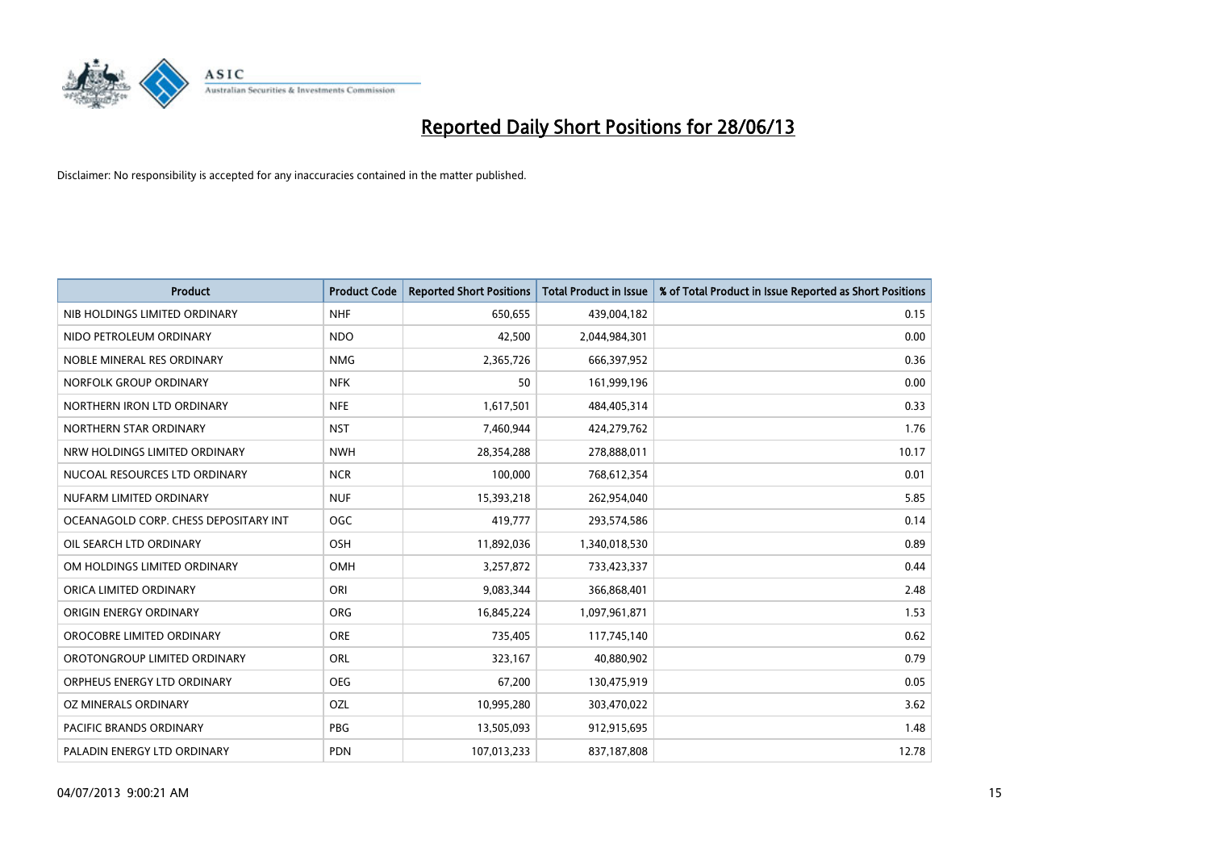

| <b>Product</b>                        | <b>Product Code</b> | <b>Reported Short Positions</b> | <b>Total Product in Issue</b> | % of Total Product in Issue Reported as Short Positions |
|---------------------------------------|---------------------|---------------------------------|-------------------------------|---------------------------------------------------------|
| NIB HOLDINGS LIMITED ORDINARY         | <b>NHF</b>          | 650,655                         | 439,004,182                   | 0.15                                                    |
| NIDO PETROLEUM ORDINARY               | <b>NDO</b>          | 42,500                          | 2,044,984,301                 | 0.00                                                    |
| NOBLE MINERAL RES ORDINARY            | <b>NMG</b>          | 2,365,726                       | 666,397,952                   | 0.36                                                    |
| NORFOLK GROUP ORDINARY                | <b>NFK</b>          | 50                              | 161,999,196                   | 0.00                                                    |
| NORTHERN IRON LTD ORDINARY            | <b>NFE</b>          | 1,617,501                       | 484,405,314                   | 0.33                                                    |
| NORTHERN STAR ORDINARY                | <b>NST</b>          | 7,460,944                       | 424,279,762                   | 1.76                                                    |
| NRW HOLDINGS LIMITED ORDINARY         | <b>NWH</b>          | 28,354,288                      | 278,888,011                   | 10.17                                                   |
| NUCOAL RESOURCES LTD ORDINARY         | <b>NCR</b>          | 100,000                         | 768,612,354                   | 0.01                                                    |
| NUFARM LIMITED ORDINARY               | <b>NUF</b>          | 15,393,218                      | 262,954,040                   | 5.85                                                    |
| OCEANAGOLD CORP. CHESS DEPOSITARY INT | <b>OGC</b>          | 419,777                         | 293,574,586                   | 0.14                                                    |
| OIL SEARCH LTD ORDINARY               | OSH                 | 11,892,036                      | 1,340,018,530                 | 0.89                                                    |
| OM HOLDINGS LIMITED ORDINARY          | OMH                 | 3,257,872                       | 733,423,337                   | 0.44                                                    |
| ORICA LIMITED ORDINARY                | ORI                 | 9,083,344                       | 366,868,401                   | 2.48                                                    |
| ORIGIN ENERGY ORDINARY                | ORG                 | 16,845,224                      | 1,097,961,871                 | 1.53                                                    |
| OROCOBRE LIMITED ORDINARY             | <b>ORE</b>          | 735,405                         | 117,745,140                   | 0.62                                                    |
| OROTONGROUP LIMITED ORDINARY          | ORL                 | 323,167                         | 40,880,902                    | 0.79                                                    |
| ORPHEUS ENERGY LTD ORDINARY           | <b>OEG</b>          | 67,200                          | 130,475,919                   | 0.05                                                    |
| OZ MINERALS ORDINARY                  | OZL                 | 10,995,280                      | 303,470,022                   | 3.62                                                    |
| <b>PACIFIC BRANDS ORDINARY</b>        | <b>PBG</b>          | 13,505,093                      | 912,915,695                   | 1.48                                                    |
| PALADIN ENERGY LTD ORDINARY           | <b>PDN</b>          | 107,013,233                     | 837,187,808                   | 12.78                                                   |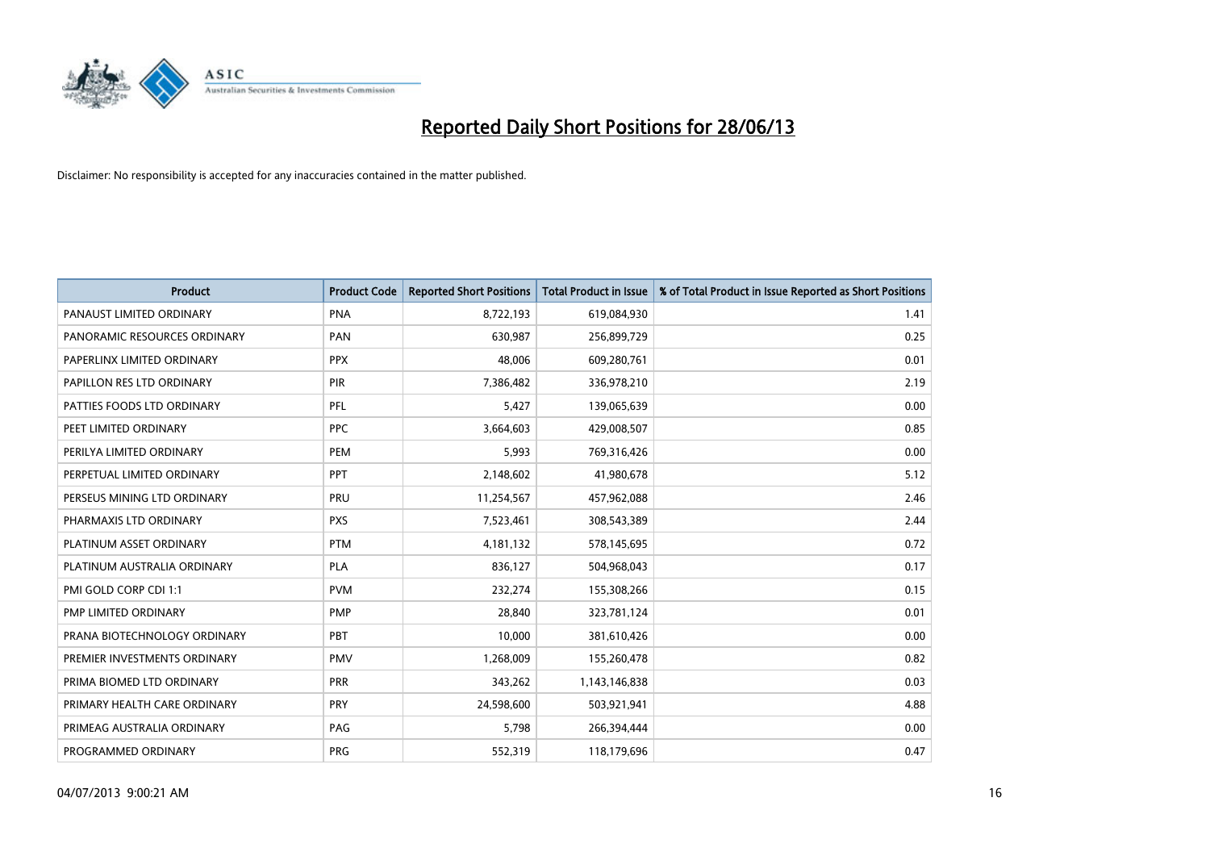

| Product                      | <b>Product Code</b> | <b>Reported Short Positions</b> | <b>Total Product in Issue</b> | % of Total Product in Issue Reported as Short Positions |
|------------------------------|---------------------|---------------------------------|-------------------------------|---------------------------------------------------------|
| PANAUST LIMITED ORDINARY     | <b>PNA</b>          | 8,722,193                       | 619,084,930                   | 1.41                                                    |
| PANORAMIC RESOURCES ORDINARY | <b>PAN</b>          | 630,987                         | 256,899,729                   | 0.25                                                    |
| PAPERLINX LIMITED ORDINARY   | <b>PPX</b>          | 48,006                          | 609,280,761                   | 0.01                                                    |
| PAPILLON RES LTD ORDINARY    | PIR                 | 7,386,482                       | 336,978,210                   | 2.19                                                    |
| PATTIES FOODS LTD ORDINARY   | PFL                 | 5,427                           | 139,065,639                   | 0.00                                                    |
| PEET LIMITED ORDINARY        | <b>PPC</b>          | 3,664,603                       | 429,008,507                   | 0.85                                                    |
| PERILYA LIMITED ORDINARY     | PEM                 | 5,993                           | 769,316,426                   | 0.00                                                    |
| PERPETUAL LIMITED ORDINARY   | <b>PPT</b>          | 2,148,602                       | 41,980,678                    | 5.12                                                    |
| PERSEUS MINING LTD ORDINARY  | PRU                 | 11,254,567                      | 457,962,088                   | 2.46                                                    |
| PHARMAXIS LTD ORDINARY       | <b>PXS</b>          | 7,523,461                       | 308,543,389                   | 2.44                                                    |
| PLATINUM ASSET ORDINARY      | <b>PTM</b>          | 4, 181, 132                     | 578,145,695                   | 0.72                                                    |
| PLATINUM AUSTRALIA ORDINARY  | <b>PLA</b>          | 836,127                         | 504,968,043                   | 0.17                                                    |
| PMI GOLD CORP CDI 1:1        | <b>PVM</b>          | 232,274                         | 155,308,266                   | 0.15                                                    |
| PMP LIMITED ORDINARY         | <b>PMP</b>          | 28,840                          | 323,781,124                   | 0.01                                                    |
| PRANA BIOTECHNOLOGY ORDINARY | PBT                 | 10,000                          | 381,610,426                   | 0.00                                                    |
| PREMIER INVESTMENTS ORDINARY | <b>PMV</b>          | 1,268,009                       | 155,260,478                   | 0.82                                                    |
| PRIMA BIOMED LTD ORDINARY    | <b>PRR</b>          | 343,262                         | 1,143,146,838                 | 0.03                                                    |
| PRIMARY HEALTH CARE ORDINARY | <b>PRY</b>          | 24,598,600                      | 503,921,941                   | 4.88                                                    |
| PRIMEAG AUSTRALIA ORDINARY   | PAG                 | 5,798                           | 266,394,444                   | 0.00                                                    |
| PROGRAMMED ORDINARY          | <b>PRG</b>          | 552,319                         | 118,179,696                   | 0.47                                                    |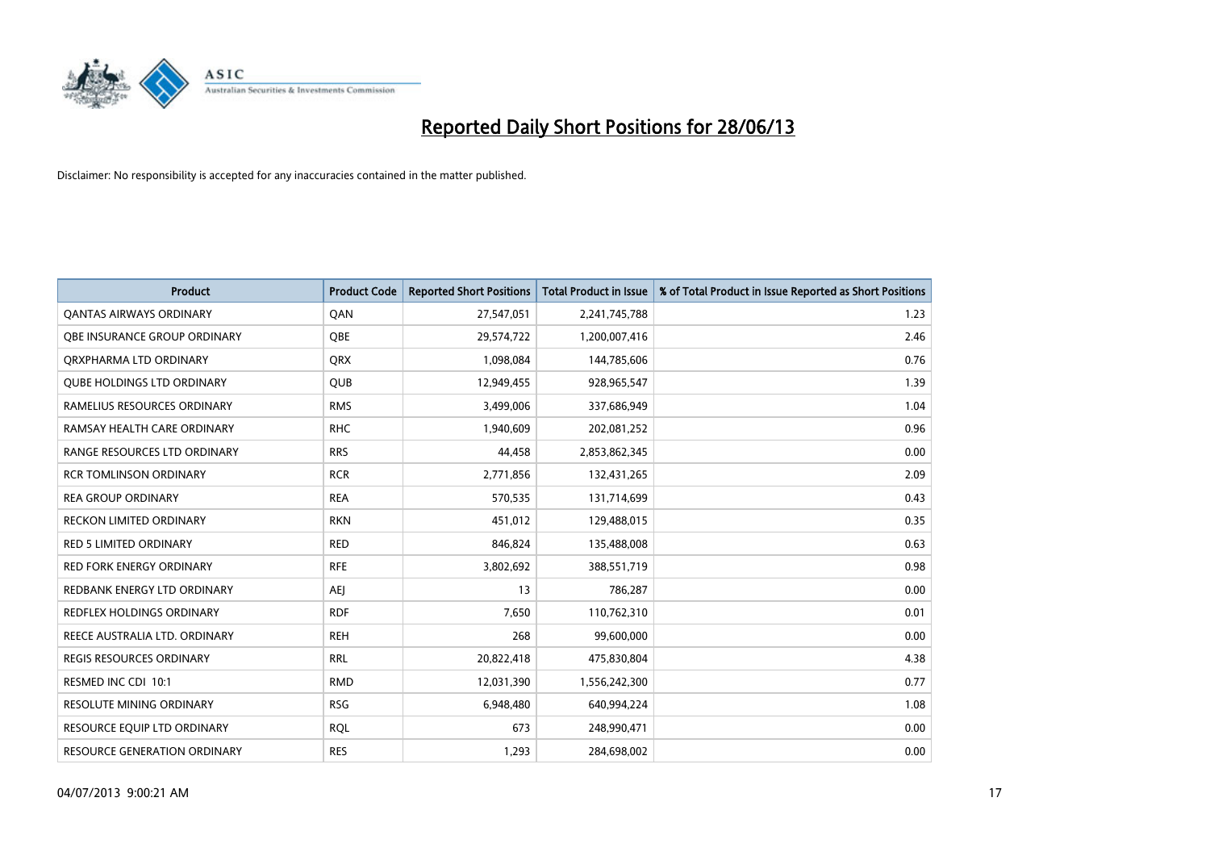

| <b>Product</b>                    | <b>Product Code</b> | <b>Reported Short Positions</b> | <b>Total Product in Issue</b> | % of Total Product in Issue Reported as Short Positions |
|-----------------------------------|---------------------|---------------------------------|-------------------------------|---------------------------------------------------------|
| <b>QANTAS AIRWAYS ORDINARY</b>    | QAN                 | 27,547,051                      | 2,241,745,788                 | 1.23                                                    |
| OBE INSURANCE GROUP ORDINARY      | <b>OBE</b>          | 29,574,722                      | 1,200,007,416                 | 2.46                                                    |
| ORXPHARMA LTD ORDINARY            | <b>QRX</b>          | 1,098,084                       | 144,785,606                   | 0.76                                                    |
| <b>QUBE HOLDINGS LTD ORDINARY</b> | QUB                 | 12,949,455                      | 928,965,547                   | 1.39                                                    |
| RAMELIUS RESOURCES ORDINARY       | <b>RMS</b>          | 3,499,006                       | 337,686,949                   | 1.04                                                    |
| RAMSAY HEALTH CARE ORDINARY       | <b>RHC</b>          | 1,940,609                       | 202,081,252                   | 0.96                                                    |
| RANGE RESOURCES LTD ORDINARY      | <b>RRS</b>          | 44,458                          | 2,853,862,345                 | 0.00                                                    |
| <b>RCR TOMLINSON ORDINARY</b>     | <b>RCR</b>          | 2,771,856                       | 132,431,265                   | 2.09                                                    |
| <b>REA GROUP ORDINARY</b>         | <b>REA</b>          | 570,535                         | 131,714,699                   | 0.43                                                    |
| <b>RECKON LIMITED ORDINARY</b>    | <b>RKN</b>          | 451,012                         | 129,488,015                   | 0.35                                                    |
| RED 5 LIMITED ORDINARY            | <b>RED</b>          | 846,824                         | 135,488,008                   | 0.63                                                    |
| <b>RED FORK ENERGY ORDINARY</b>   | <b>RFE</b>          | 3,802,692                       | 388,551,719                   | 0.98                                                    |
| REDBANK ENERGY LTD ORDINARY       | <b>AEI</b>          | 13                              | 786,287                       | 0.00                                                    |
| REDFLEX HOLDINGS ORDINARY         | <b>RDF</b>          | 7,650                           | 110,762,310                   | 0.01                                                    |
| REECE AUSTRALIA LTD. ORDINARY     | <b>REH</b>          | 268                             | 99,600,000                    | 0.00                                                    |
| REGIS RESOURCES ORDINARY          | <b>RRL</b>          | 20,822,418                      | 475,830,804                   | 4.38                                                    |
| RESMED INC CDI 10:1               | <b>RMD</b>          | 12,031,390                      | 1,556,242,300                 | 0.77                                                    |
| <b>RESOLUTE MINING ORDINARY</b>   | <b>RSG</b>          | 6,948,480                       | 640,994,224                   | 1.08                                                    |
| RESOURCE EQUIP LTD ORDINARY       | <b>ROL</b>          | 673                             | 248,990,471                   | 0.00                                                    |
| RESOURCE GENERATION ORDINARY      | <b>RES</b>          | 1,293                           | 284,698,002                   | 0.00                                                    |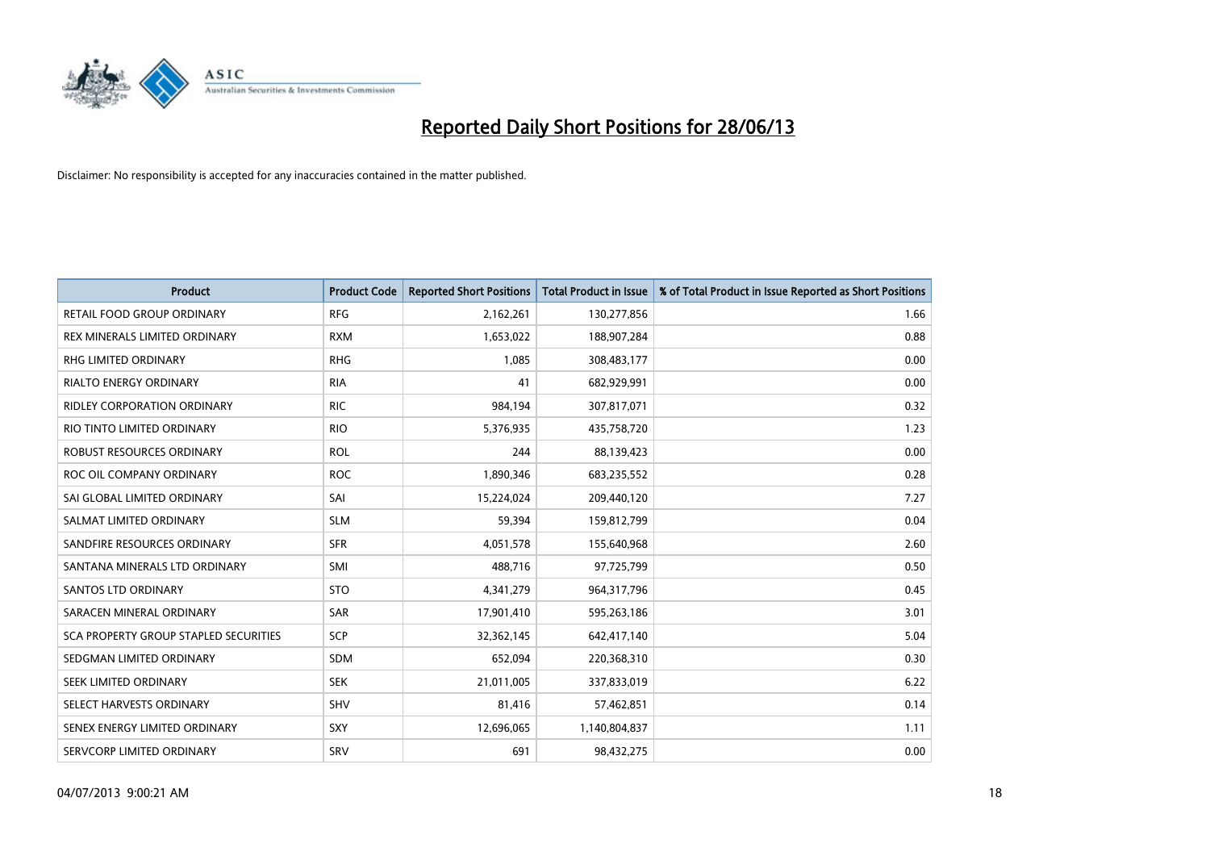

| <b>Product</b>                               | <b>Product Code</b> | <b>Reported Short Positions</b> | <b>Total Product in Issue</b> | % of Total Product in Issue Reported as Short Positions |
|----------------------------------------------|---------------------|---------------------------------|-------------------------------|---------------------------------------------------------|
| <b>RETAIL FOOD GROUP ORDINARY</b>            | <b>RFG</b>          | 2,162,261                       | 130,277,856                   | 1.66                                                    |
| REX MINERALS LIMITED ORDINARY                | <b>RXM</b>          | 1,653,022                       | 188,907,284                   | 0.88                                                    |
| RHG LIMITED ORDINARY                         | <b>RHG</b>          | 1,085                           | 308,483,177                   | 0.00                                                    |
| RIALTO ENERGY ORDINARY                       | <b>RIA</b>          | 41                              | 682,929,991                   | 0.00                                                    |
| RIDLEY CORPORATION ORDINARY                  | <b>RIC</b>          | 984,194                         | 307,817,071                   | 0.32                                                    |
| RIO TINTO LIMITED ORDINARY                   | <b>RIO</b>          | 5,376,935                       | 435,758,720                   | 1.23                                                    |
| ROBUST RESOURCES ORDINARY                    | <b>ROL</b>          | 244                             | 88,139,423                    | 0.00                                                    |
| ROC OIL COMPANY ORDINARY                     | <b>ROC</b>          | 1,890,346                       | 683,235,552                   | 0.28                                                    |
| SAI GLOBAL LIMITED ORDINARY                  | SAI                 | 15,224,024                      | 209,440,120                   | 7.27                                                    |
| SALMAT LIMITED ORDINARY                      | <b>SLM</b>          | 59,394                          | 159,812,799                   | 0.04                                                    |
| SANDFIRE RESOURCES ORDINARY                  | <b>SFR</b>          | 4,051,578                       | 155,640,968                   | 2.60                                                    |
| SANTANA MINERALS LTD ORDINARY                | SMI                 | 488,716                         | 97,725,799                    | 0.50                                                    |
| <b>SANTOS LTD ORDINARY</b>                   | <b>STO</b>          | 4,341,279                       | 964,317,796                   | 0.45                                                    |
| SARACEN MINERAL ORDINARY                     | SAR                 | 17,901,410                      | 595,263,186                   | 3.01                                                    |
| <b>SCA PROPERTY GROUP STAPLED SECURITIES</b> | SCP                 | 32,362,145                      | 642,417,140                   | 5.04                                                    |
| SEDGMAN LIMITED ORDINARY                     | SDM                 | 652,094                         | 220,368,310                   | 0.30                                                    |
| SEEK LIMITED ORDINARY                        | <b>SEK</b>          | 21,011,005                      | 337,833,019                   | 6.22                                                    |
| SELECT HARVESTS ORDINARY                     | SHV                 | 81,416                          | 57,462,851                    | 0.14                                                    |
| SENEX ENERGY LIMITED ORDINARY                | <b>SXY</b>          | 12,696,065                      | 1,140,804,837                 | 1.11                                                    |
| SERVCORP LIMITED ORDINARY                    | SRV                 | 691                             | 98,432,275                    | 0.00                                                    |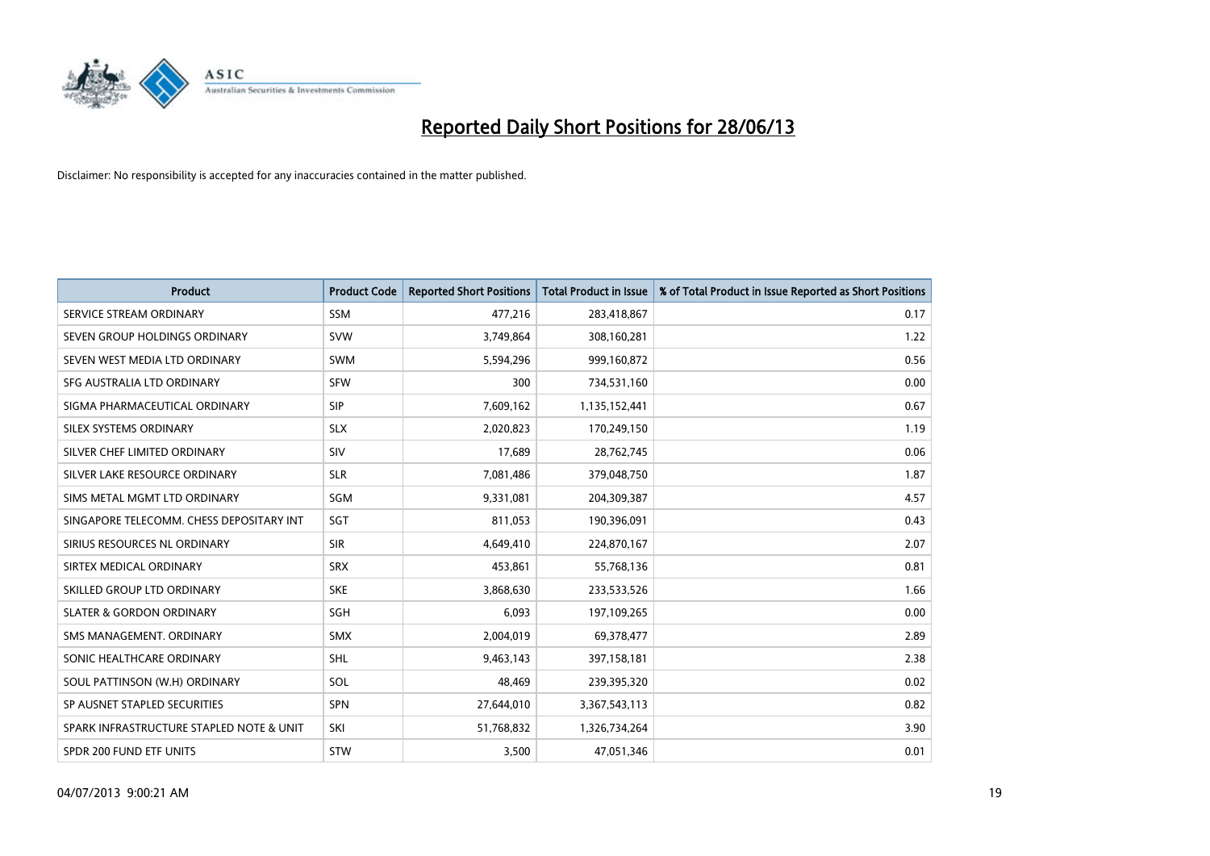

| <b>Product</b>                           | <b>Product Code</b> | <b>Reported Short Positions</b> | <b>Total Product in Issue</b> | % of Total Product in Issue Reported as Short Positions |
|------------------------------------------|---------------------|---------------------------------|-------------------------------|---------------------------------------------------------|
| SERVICE STREAM ORDINARY                  | <b>SSM</b>          | 477,216                         | 283,418,867                   | 0.17                                                    |
| SEVEN GROUP HOLDINGS ORDINARY            | <b>SVW</b>          | 3,749,864                       | 308,160,281                   | 1.22                                                    |
| SEVEN WEST MEDIA LTD ORDINARY            | <b>SWM</b>          | 5,594,296                       | 999,160,872                   | 0.56                                                    |
| SFG AUSTRALIA LTD ORDINARY               | <b>SFW</b>          | 300                             | 734,531,160                   | 0.00                                                    |
| SIGMA PHARMACEUTICAL ORDINARY            | <b>SIP</b>          | 7,609,162                       | 1,135,152,441                 | 0.67                                                    |
| SILEX SYSTEMS ORDINARY                   | <b>SLX</b>          | 2,020,823                       | 170,249,150                   | 1.19                                                    |
| SILVER CHEF LIMITED ORDINARY             | <b>SIV</b>          | 17,689                          | 28,762,745                    | 0.06                                                    |
| SILVER LAKE RESOURCE ORDINARY            | <b>SLR</b>          | 7,081,486                       | 379,048,750                   | 1.87                                                    |
| SIMS METAL MGMT LTD ORDINARY             | <b>SGM</b>          | 9,331,081                       | 204,309,387                   | 4.57                                                    |
| SINGAPORE TELECOMM. CHESS DEPOSITARY INT | SGT                 | 811,053                         | 190,396,091                   | 0.43                                                    |
| SIRIUS RESOURCES NL ORDINARY             | <b>SIR</b>          | 4,649,410                       | 224,870,167                   | 2.07                                                    |
| SIRTEX MEDICAL ORDINARY                  | <b>SRX</b>          | 453,861                         | 55,768,136                    | 0.81                                                    |
| SKILLED GROUP LTD ORDINARY               | <b>SKE</b>          | 3,868,630                       | 233,533,526                   | 1.66                                                    |
| <b>SLATER &amp; GORDON ORDINARY</b>      | SGH                 | 6,093                           | 197,109,265                   | 0.00                                                    |
| SMS MANAGEMENT, ORDINARY                 | <b>SMX</b>          | 2,004,019                       | 69,378,477                    | 2.89                                                    |
| SONIC HEALTHCARE ORDINARY                | <b>SHL</b>          | 9,463,143                       | 397,158,181                   | 2.38                                                    |
| SOUL PATTINSON (W.H) ORDINARY            | SOL                 | 48,469                          | 239,395,320                   | 0.02                                                    |
| SP AUSNET STAPLED SECURITIES             | <b>SPN</b>          | 27,644,010                      | 3,367,543,113                 | 0.82                                                    |
| SPARK INFRASTRUCTURE STAPLED NOTE & UNIT | SKI                 | 51,768,832                      | 1,326,734,264                 | 3.90                                                    |
| SPDR 200 FUND ETF UNITS                  | STW                 | 3,500                           | 47,051,346                    | 0.01                                                    |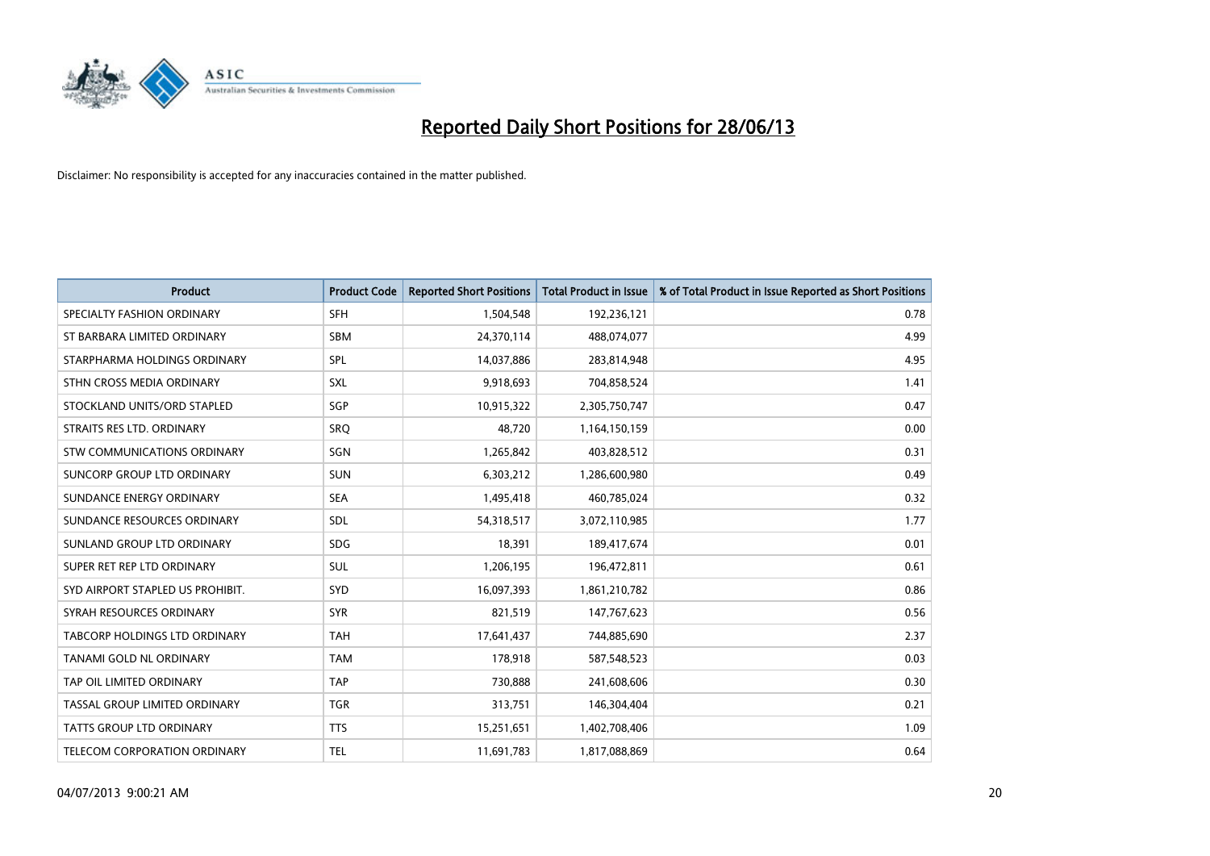

| <b>Product</b>                       | <b>Product Code</b> | <b>Reported Short Positions</b> | <b>Total Product in Issue</b> | % of Total Product in Issue Reported as Short Positions |
|--------------------------------------|---------------------|---------------------------------|-------------------------------|---------------------------------------------------------|
| SPECIALTY FASHION ORDINARY           | <b>SFH</b>          | 1,504,548                       | 192,236,121                   | 0.78                                                    |
| ST BARBARA LIMITED ORDINARY          | <b>SBM</b>          | 24,370,114                      | 488,074,077                   | 4.99                                                    |
| STARPHARMA HOLDINGS ORDINARY         | SPL                 | 14,037,886                      | 283,814,948                   | 4.95                                                    |
| STHN CROSS MEDIA ORDINARY            | <b>SXL</b>          | 9,918,693                       | 704,858,524                   | 1.41                                                    |
| STOCKLAND UNITS/ORD STAPLED          | SGP                 | 10,915,322                      | 2,305,750,747                 | 0.47                                                    |
| STRAITS RES LTD. ORDINARY            | <b>SRQ</b>          | 48,720                          | 1,164,150,159                 | 0.00                                                    |
| <b>STW COMMUNICATIONS ORDINARY</b>   | SGN                 | 1,265,842                       | 403,828,512                   | 0.31                                                    |
| SUNCORP GROUP LTD ORDINARY           | <b>SUN</b>          | 6,303,212                       | 1,286,600,980                 | 0.49                                                    |
| SUNDANCE ENERGY ORDINARY             | <b>SEA</b>          | 1,495,418                       | 460,785,024                   | 0.32                                                    |
| SUNDANCE RESOURCES ORDINARY          | <b>SDL</b>          | 54,318,517                      | 3,072,110,985                 | 1.77                                                    |
| SUNLAND GROUP LTD ORDINARY           | <b>SDG</b>          | 18,391                          | 189,417,674                   | 0.01                                                    |
| SUPER RET REP LTD ORDINARY           | SUL                 | 1,206,195                       | 196,472,811                   | 0.61                                                    |
| SYD AIRPORT STAPLED US PROHIBIT.     | SYD                 | 16,097,393                      | 1,861,210,782                 | 0.86                                                    |
| SYRAH RESOURCES ORDINARY             | <b>SYR</b>          | 821,519                         | 147,767,623                   | 0.56                                                    |
| <b>TABCORP HOLDINGS LTD ORDINARY</b> | <b>TAH</b>          | 17,641,437                      | 744,885,690                   | 2.37                                                    |
| TANAMI GOLD NL ORDINARY              | <b>TAM</b>          | 178,918                         | 587,548,523                   | 0.03                                                    |
| TAP OIL LIMITED ORDINARY             | <b>TAP</b>          | 730,888                         | 241,608,606                   | 0.30                                                    |
| TASSAL GROUP LIMITED ORDINARY        | <b>TGR</b>          | 313,751                         | 146,304,404                   | 0.21                                                    |
| <b>TATTS GROUP LTD ORDINARY</b>      | <b>TTS</b>          | 15,251,651                      | 1,402,708,406                 | 1.09                                                    |
| <b>TELECOM CORPORATION ORDINARY</b>  | <b>TEL</b>          | 11,691,783                      | 1,817,088,869                 | 0.64                                                    |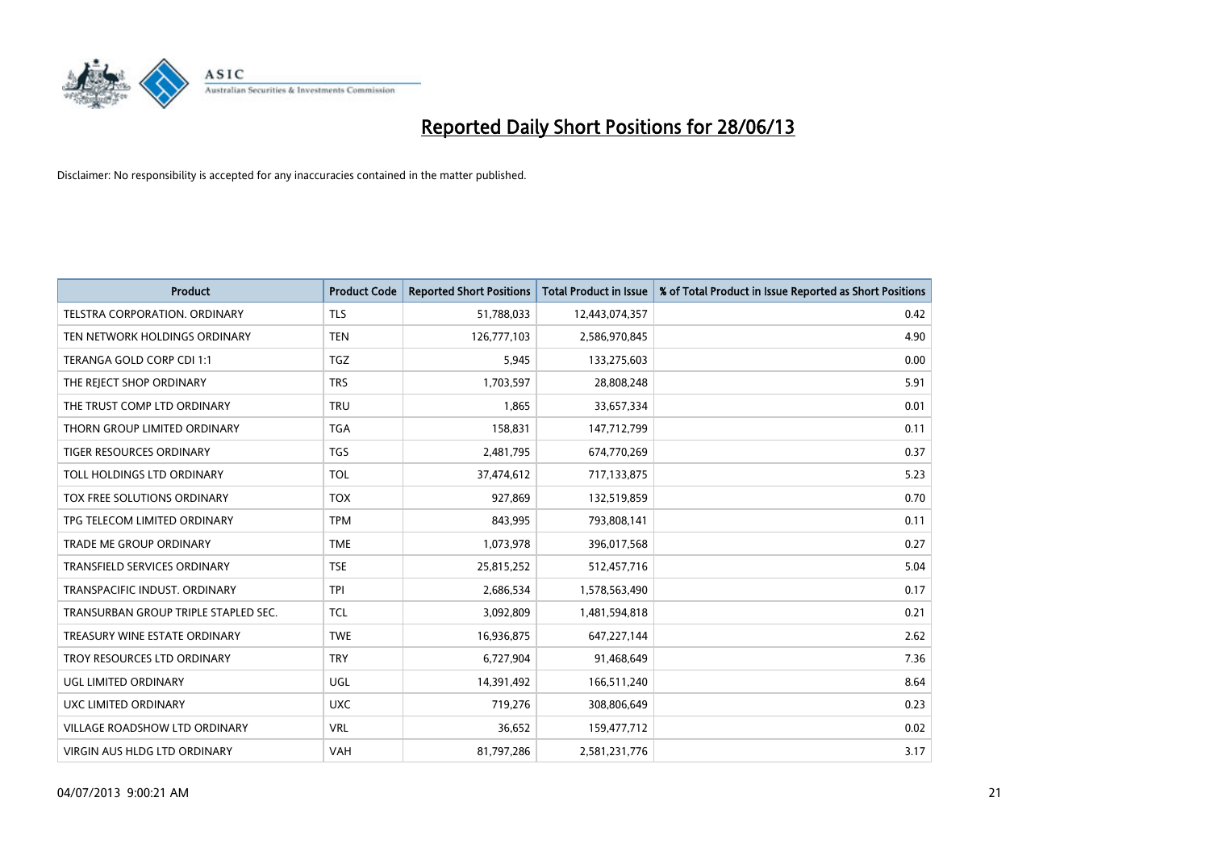

| <b>Product</b>                       | <b>Product Code</b> | <b>Reported Short Positions</b> | <b>Total Product in Issue</b> | % of Total Product in Issue Reported as Short Positions |
|--------------------------------------|---------------------|---------------------------------|-------------------------------|---------------------------------------------------------|
| TELSTRA CORPORATION, ORDINARY        | <b>TLS</b>          | 51,788,033                      | 12,443,074,357                | 0.42                                                    |
| TEN NETWORK HOLDINGS ORDINARY        | <b>TEN</b>          | 126,777,103                     | 2,586,970,845                 | 4.90                                                    |
| TERANGA GOLD CORP CDI 1:1            | <b>TGZ</b>          | 5,945                           | 133,275,603                   | 0.00                                                    |
| THE REJECT SHOP ORDINARY             | <b>TRS</b>          | 1,703,597                       | 28,808,248                    | 5.91                                                    |
| THE TRUST COMP LTD ORDINARY          | <b>TRU</b>          | 1,865                           | 33,657,334                    | 0.01                                                    |
| THORN GROUP LIMITED ORDINARY         | <b>TGA</b>          | 158,831                         | 147,712,799                   | 0.11                                                    |
| TIGER RESOURCES ORDINARY             | <b>TGS</b>          | 2,481,795                       | 674,770,269                   | 0.37                                                    |
| TOLL HOLDINGS LTD ORDINARY           | <b>TOL</b>          | 37,474,612                      | 717,133,875                   | 5.23                                                    |
| TOX FREE SOLUTIONS ORDINARY          | <b>TOX</b>          | 927,869                         | 132,519,859                   | 0.70                                                    |
| TPG TELECOM LIMITED ORDINARY         | <b>TPM</b>          | 843,995                         | 793,808,141                   | 0.11                                                    |
| <b>TRADE ME GROUP ORDINARY</b>       | <b>TME</b>          | 1,073,978                       | 396,017,568                   | 0.27                                                    |
| <b>TRANSFIELD SERVICES ORDINARY</b>  | <b>TSE</b>          | 25,815,252                      | 512,457,716                   | 5.04                                                    |
| TRANSPACIFIC INDUST, ORDINARY        | <b>TPI</b>          | 2,686,534                       | 1,578,563,490                 | 0.17                                                    |
| TRANSURBAN GROUP TRIPLE STAPLED SEC. | <b>TCL</b>          | 3,092,809                       | 1,481,594,818                 | 0.21                                                    |
| TREASURY WINE ESTATE ORDINARY        | <b>TWE</b>          | 16,936,875                      | 647,227,144                   | 2.62                                                    |
| TROY RESOURCES LTD ORDINARY          | <b>TRY</b>          | 6,727,904                       | 91,468,649                    | 7.36                                                    |
| UGL LIMITED ORDINARY                 | UGL                 | 14,391,492                      | 166,511,240                   | 8.64                                                    |
| <b>UXC LIMITED ORDINARY</b>          | <b>UXC</b>          | 719,276                         | 308,806,649                   | 0.23                                                    |
| VILLAGE ROADSHOW LTD ORDINARY        | <b>VRL</b>          | 36,652                          | 159,477,712                   | 0.02                                                    |
| <b>VIRGIN AUS HLDG LTD ORDINARY</b>  | <b>VAH</b>          | 81,797,286                      | 2,581,231,776                 | 3.17                                                    |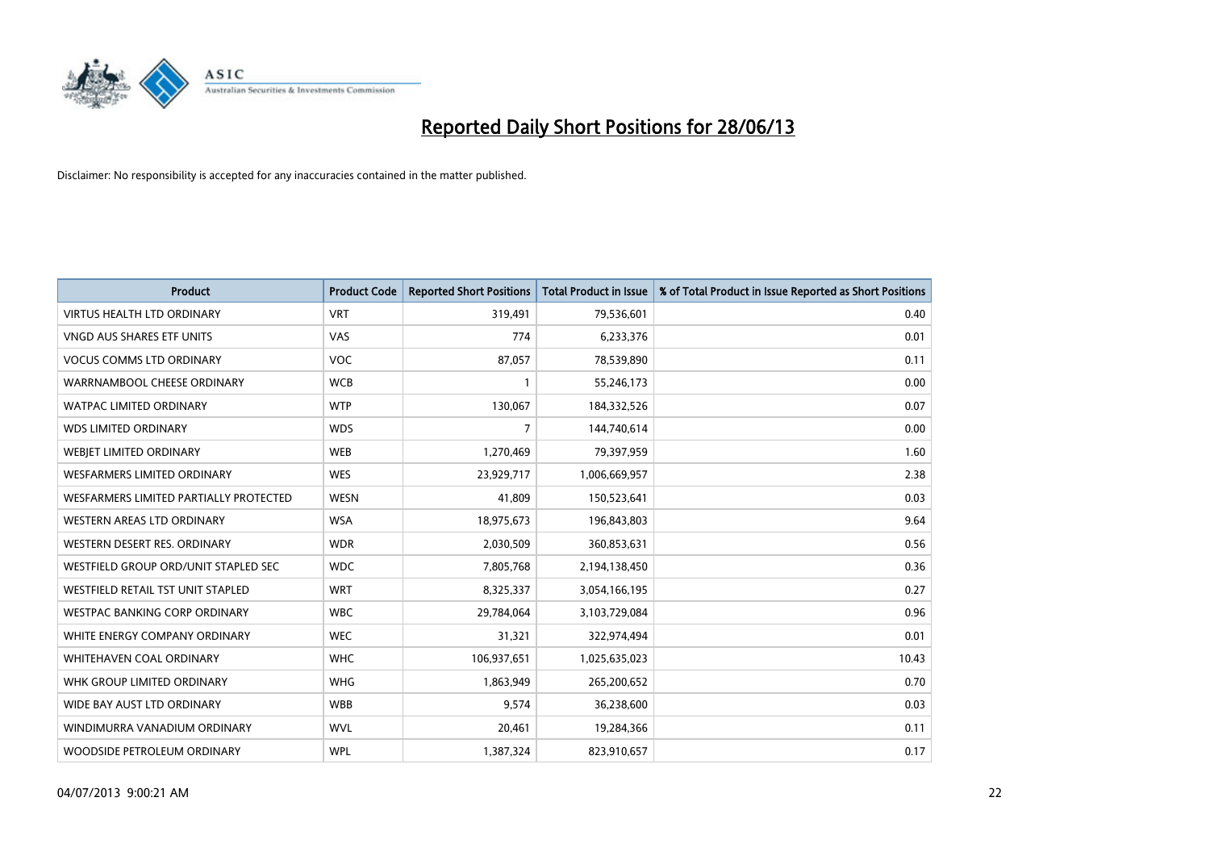

| <b>Product</b>                         | <b>Product Code</b> | <b>Reported Short Positions</b> | <b>Total Product in Issue</b> | % of Total Product in Issue Reported as Short Positions |
|----------------------------------------|---------------------|---------------------------------|-------------------------------|---------------------------------------------------------|
| <b>VIRTUS HEALTH LTD ORDINARY</b>      | <b>VRT</b>          | 319,491                         | 79,536,601                    | 0.40                                                    |
| <b>VNGD AUS SHARES ETF UNITS</b>       | VAS                 | 774                             | 6,233,376                     | 0.01                                                    |
| <b>VOCUS COMMS LTD ORDINARY</b>        | <b>VOC</b>          | 87,057                          | 78,539,890                    | 0.11                                                    |
| WARRNAMBOOL CHEESE ORDINARY            | <b>WCB</b>          | $\mathbf{1}$                    | 55,246,173                    | 0.00                                                    |
| <b>WATPAC LIMITED ORDINARY</b>         | <b>WTP</b>          | 130,067                         | 184,332,526                   | 0.07                                                    |
| <b>WDS LIMITED ORDINARY</b>            | <b>WDS</b>          | $\overline{7}$                  | 144,740,614                   | 0.00                                                    |
| WEBJET LIMITED ORDINARY                | <b>WEB</b>          | 1,270,469                       | 79,397,959                    | 1.60                                                    |
| <b>WESFARMERS LIMITED ORDINARY</b>     | <b>WES</b>          | 23,929,717                      | 1,006,669,957                 | 2.38                                                    |
| WESFARMERS LIMITED PARTIALLY PROTECTED | <b>WESN</b>         | 41,809                          | 150,523,641                   | 0.03                                                    |
| <b>WESTERN AREAS LTD ORDINARY</b>      | <b>WSA</b>          | 18,975,673                      | 196,843,803                   | 9.64                                                    |
| WESTERN DESERT RES. ORDINARY           | <b>WDR</b>          | 2,030,509                       | 360,853,631                   | 0.56                                                    |
| WESTFIELD GROUP ORD/UNIT STAPLED SEC   | <b>WDC</b>          | 7,805,768                       | 2,194,138,450                 | 0.36                                                    |
| WESTFIELD RETAIL TST UNIT STAPLED      | <b>WRT</b>          | 8,325,337                       | 3,054,166,195                 | 0.27                                                    |
| <b>WESTPAC BANKING CORP ORDINARY</b>   | <b>WBC</b>          | 29,784,064                      | 3,103,729,084                 | 0.96                                                    |
| WHITE ENERGY COMPANY ORDINARY          | <b>WEC</b>          | 31,321                          | 322,974,494                   | 0.01                                                    |
| <b>WHITEHAVEN COAL ORDINARY</b>        | <b>WHC</b>          | 106,937,651                     | 1,025,635,023                 | 10.43                                                   |
| WHK GROUP LIMITED ORDINARY             | <b>WHG</b>          | 1,863,949                       | 265,200,652                   | 0.70                                                    |
| WIDE BAY AUST LTD ORDINARY             | <b>WBB</b>          | 9,574                           | 36,238,600                    | 0.03                                                    |
| WINDIMURRA VANADIUM ORDINARY           | <b>WVL</b>          | 20,461                          | 19,284,366                    | 0.11                                                    |
| WOODSIDE PETROLEUM ORDINARY            | <b>WPL</b>          | 1,387,324                       | 823,910,657                   | 0.17                                                    |